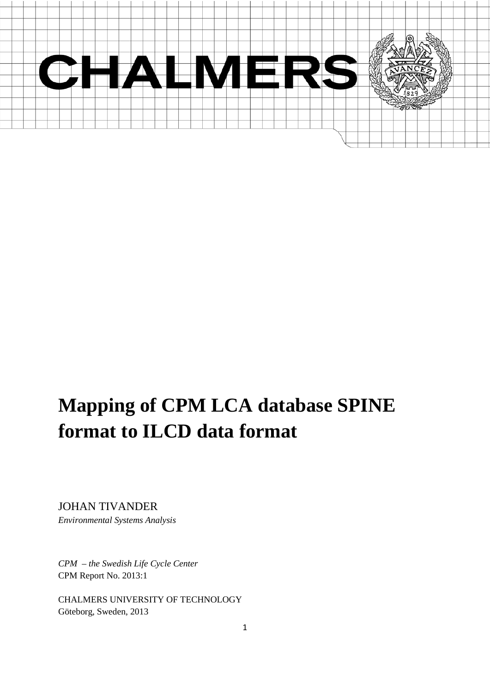

# **Mapping of CPM LCA database SPINE format to ILCD data format**

JOHAN TIVANDER *Environmental Systems Analysis*

*CPM – the Swedish Life Cycle Center* CPM Report No. 2013:1

CHALMERS UNIVERSITY OF TECHNOLOGY Göteborg, Sweden, 2013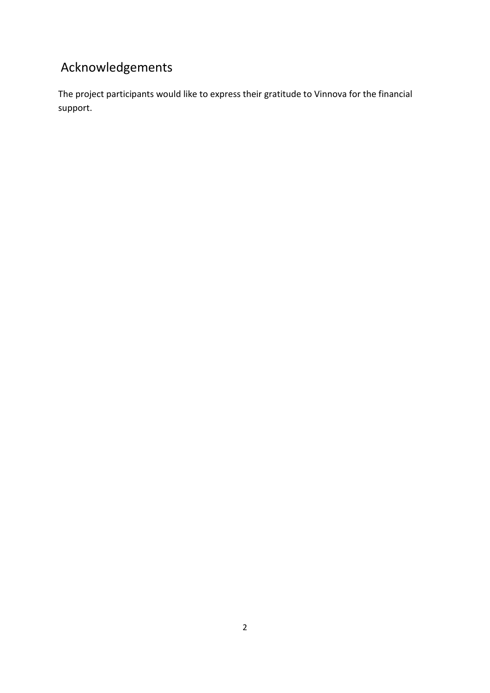## Acknowledgements

The project participants would like to express their gratitude to Vinnova for the financial support.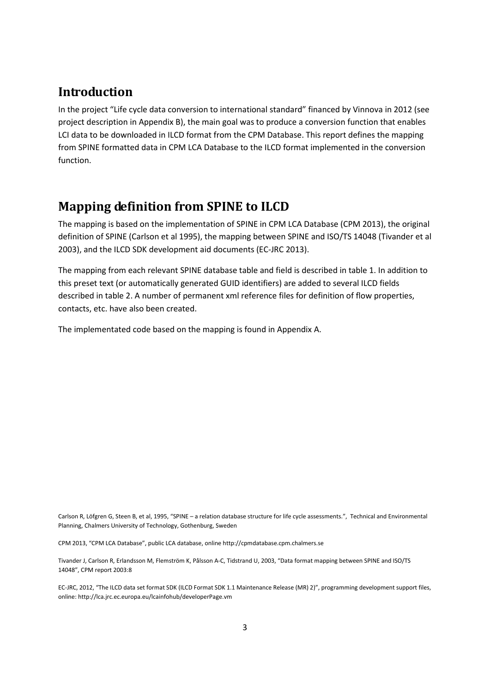## **Introduction**

In the project "Life cycle data conversion to international standard" financed by Vinnova in 2012 (see project description in Appendix B), the main goal was to produce a conversion function that enables LCI data to be downloaded in ILCD format from the CPM Database. This report defines the mapping from SPINE formatted data in CPM LCA Database to the ILCD format implemented in the conversion function.

## **Mapping definition from SPINE to ILCD**

The mapping is based on the implementation of SPINE in CPM LCA Database (CPM 2013), the original definition of SPINE (Carlson et al 1995), the mapping between SPINE and ISO/TS 14048 (Tivander et al 2003), and the ILCD SDK development aid documents (EC-JRC 2013).

The mapping from each relevant SPINE database table and field is described in table 1. In addition to this preset text (or automatically generated GUID identifiers) are added to several ILCD fields described in table 2. A number of permanent xml reference files for definition of flow properties, contacts, etc. have also been created.

The implementated code based on the mapping is found in Appendix A.

Carlson R, Löfgren G, Steen B, et al, 1995, "SPINE – a relation database structure for life cycle assessments.", Technical and Environmental Planning, Chalmers University of Technology, Gothenburg, Sweden

CPM 2013, "CPM LCA Database", public LCA database, onlin[e http://cpmdatabase.cpm.chalmers.se](http://cpmdatabase.cpm.chalmers.se/)

Tivander J, Carlson R, Erlandsson M, Flemström K, Pålsson A-C, Tidstrand U, 2003, "Data format mapping between SPINE and ISO/TS 14048", CPM report 2003:8

EC-JRC, 2012, "The ILCD data set format SDK (ILCD Format SDK 1.1 Maintenance Release (MR) 2)", programming development support files, online: http://lca.jrc.ec.europa.eu/lcainfohub/developerPage.vm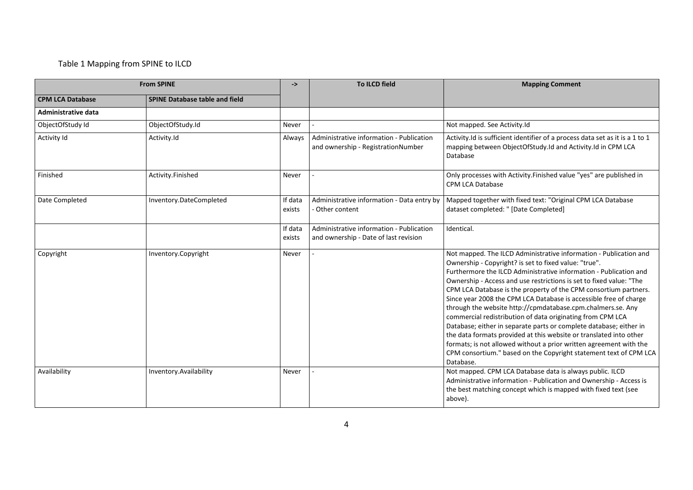#### Table 1 Mapping from SPINE to ILCD

|                            | <b>From SPINE</b>                     | ->                | <b>To ILCD field</b>                                                              | <b>Mapping Comment</b>                                                                                                                                                                                                                                                                                                                                                                                                                                                                                                                                                                                                                                                                                                                                                                                                                           |
|----------------------------|---------------------------------------|-------------------|-----------------------------------------------------------------------------------|--------------------------------------------------------------------------------------------------------------------------------------------------------------------------------------------------------------------------------------------------------------------------------------------------------------------------------------------------------------------------------------------------------------------------------------------------------------------------------------------------------------------------------------------------------------------------------------------------------------------------------------------------------------------------------------------------------------------------------------------------------------------------------------------------------------------------------------------------|
| <b>CPM LCA Database</b>    | <b>SPINE Database table and field</b> |                   |                                                                                   |                                                                                                                                                                                                                                                                                                                                                                                                                                                                                                                                                                                                                                                                                                                                                                                                                                                  |
| <b>Administrative data</b> |                                       |                   |                                                                                   |                                                                                                                                                                                                                                                                                                                                                                                                                                                                                                                                                                                                                                                                                                                                                                                                                                                  |
| ObjectOfStudy Id           | ObjectOfStudy.Id                      | Never             |                                                                                   | Not mapped. See Activity.Id                                                                                                                                                                                                                                                                                                                                                                                                                                                                                                                                                                                                                                                                                                                                                                                                                      |
| Activity Id                | Activity.Id                           | Always            | Administrative information - Publication<br>and ownership - RegistrationNumber    | Activity.Id is sufficient identifier of a process data set as it is a 1 to 1<br>mapping between ObjectOfStudy.Id and Activity.Id in CPM LCA<br>Database                                                                                                                                                                                                                                                                                                                                                                                                                                                                                                                                                                                                                                                                                          |
| Finished                   | Activity.Finished                     | Never             |                                                                                   | Only processes with Activity. Finished value "yes" are published in<br><b>CPM LCA Database</b>                                                                                                                                                                                                                                                                                                                                                                                                                                                                                                                                                                                                                                                                                                                                                   |
| Date Completed             | Inventory.DateCompleted               | If data<br>exists | Administrative information - Data entry by<br>- Other content                     | Mapped together with fixed text: "Original CPM LCA Database<br>dataset completed: " [Date Completed]                                                                                                                                                                                                                                                                                                                                                                                                                                                                                                                                                                                                                                                                                                                                             |
|                            |                                       | If data<br>exists | Administrative information - Publication<br>and ownership - Date of last revision | Identical.                                                                                                                                                                                                                                                                                                                                                                                                                                                                                                                                                                                                                                                                                                                                                                                                                                       |
| Copyright                  | Inventory.Copyright                   | Never             |                                                                                   | Not mapped. The ILCD Administrative information - Publication and<br>Ownership - Copyright? is set to fixed value: "true".<br>Furthermore the ILCD Administrative information - Publication and<br>Ownership - Access and use restrictions is set to fixed value: "The<br>CPM LCA Database is the property of the CPM consortium partners.<br>Since year 2008 the CPM LCA Database is accessible free of charge<br>through the website http://cpmdatabase.cpm.chalmers.se. Any<br>commercial redistribution of data originating from CPM LCA<br>Database; either in separate parts or complete database; either in<br>the data formats provided at this website or translated into other<br>formats; is not allowed without a prior written agreement with the<br>CPM consortium." based on the Copyright statement text of CPM LCA<br>Database. |
| Availability               | Inventory.Availability                | Never             |                                                                                   | Not mapped. CPM LCA Database data is always public. ILCD<br>Administrative information - Publication and Ownership - Access is<br>the best matching concept which is mapped with fixed text (see<br>above).                                                                                                                                                                                                                                                                                                                                                                                                                                                                                                                                                                                                                                      |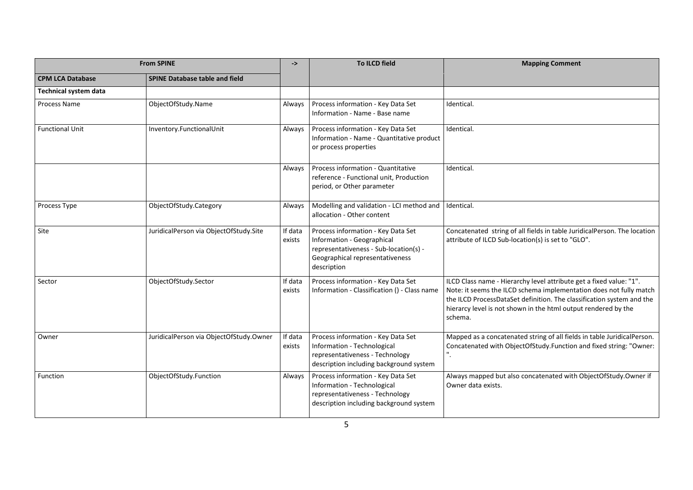|                              | <b>From SPINE</b>                       |                   | <b>To ILCD field</b>                                                                                                                                         | <b>Mapping Comment</b>                                                                                                                                                                                                                                                                          |
|------------------------------|-----------------------------------------|-------------------|--------------------------------------------------------------------------------------------------------------------------------------------------------------|-------------------------------------------------------------------------------------------------------------------------------------------------------------------------------------------------------------------------------------------------------------------------------------------------|
| <b>CPM LCA Database</b>      | <b>SPINE Database table and field</b>   |                   |                                                                                                                                                              |                                                                                                                                                                                                                                                                                                 |
| <b>Technical system data</b> |                                         |                   |                                                                                                                                                              |                                                                                                                                                                                                                                                                                                 |
| Process Name                 | ObjectOfStudy.Name                      | Always            | Process information - Key Data Set<br>Information - Name - Base name                                                                                         | Identical.                                                                                                                                                                                                                                                                                      |
| <b>Functional Unit</b>       | Inventory.FunctionalUnit                | Always            | Process information - Key Data Set<br>Information - Name - Quantitative product<br>or process properties                                                     | Identical.                                                                                                                                                                                                                                                                                      |
|                              |                                         | Always            | Process information - Quantitative<br>reference - Functional unit, Production<br>period, or Other parameter                                                  | Identical.                                                                                                                                                                                                                                                                                      |
| Process Type                 | ObjectOfStudy.Category                  | Always            | Modelling and validation - LCI method and<br>allocation - Other content                                                                                      | Identical.                                                                                                                                                                                                                                                                                      |
| <b>Site</b>                  | JuridicalPerson via ObjectOfStudy.Site  | If data<br>exists | Process information - Key Data Set<br>Information - Geographical<br>representativeness - Sub-location(s) -<br>Geographical representativeness<br>description | Concatenated string of all fields in table JuridicalPerson. The location<br>attribute of ILCD Sub-location(s) is set to "GLO".                                                                                                                                                                  |
| Sector                       | ObjectOfStudy.Sector                    | If data<br>exists | Process information - Key Data Set<br>Information - Classification () - Class name                                                                           | ILCD Class name - Hierarchy level attribute get a fixed value: "1".<br>Note: it seems the ILCD schema implementation does not fully match<br>the ILCD ProcessDataSet definition. The classification system and the<br>hierarcy level is not shown in the html output rendered by the<br>schema. |
| Owner                        | JuridicalPerson via ObjectOfStudy.Owner | If data<br>exists | Process information - Key Data Set<br>Information - Technological<br>representativeness - Technology<br>description including background system              | Mapped as a concatenated string of all fields in table JuridicalPerson.<br>Concatenated with ObjectOfStudy.Function and fixed string: "Owner:<br>$^{\rm n}.$                                                                                                                                    |
| Function                     | ObjectOfStudy.Function                  | Always            | Process information - Key Data Set<br>Information - Technological<br>representativeness - Technology<br>description including background system              | Always mapped but also concatenated with ObjectOfStudy.Owner if<br>Owner data exists.                                                                                                                                                                                                           |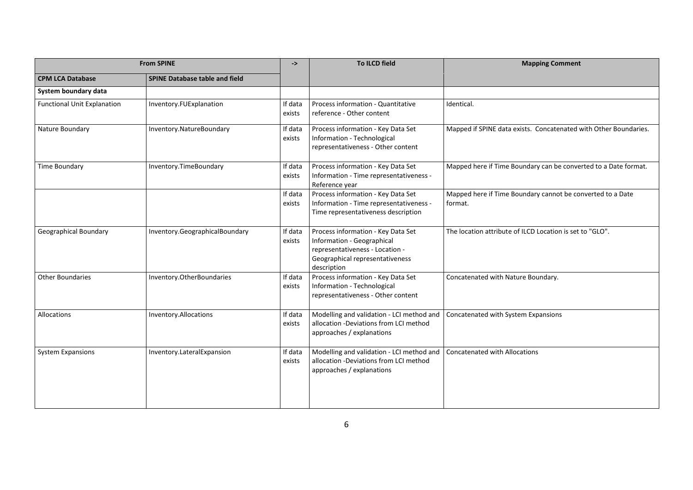| <b>From SPINE</b>                  |                                       | ->                | To ILCD field                                                                                                                                         | <b>Mapping Comment</b>                                                |
|------------------------------------|---------------------------------------|-------------------|-------------------------------------------------------------------------------------------------------------------------------------------------------|-----------------------------------------------------------------------|
| <b>CPM LCA Database</b>            | <b>SPINE Database table and field</b> |                   |                                                                                                                                                       |                                                                       |
| System boundary data               |                                       |                   |                                                                                                                                                       |                                                                       |
| <b>Functional Unit Explanation</b> | Inventory.FUExplanation               | If data<br>exists | Process information - Quantitative<br>reference - Other content                                                                                       | Identical.                                                            |
| Nature Boundary                    | Inventory.NatureBoundary              | If data<br>exists | Process information - Key Data Set<br>Information - Technological<br>representativeness - Other content                                               | Mapped if SPINE data exists. Concatenated with Other Boundaries.      |
| Time Boundary                      | Inventory.TimeBoundary                | If data<br>exists | Process information - Key Data Set<br>Information - Time representativeness -<br>Reference year                                                       | Mapped here if Time Boundary can be converted to a Date format.       |
|                                    |                                       | If data<br>exists | Process information - Key Data Set<br>Information - Time representativeness -<br>Time representativeness description                                  | Mapped here if Time Boundary cannot be converted to a Date<br>format. |
| Geographical Boundary              | Inventory.GeographicalBoundary        | If data<br>exists | Process information - Key Data Set<br>Information - Geographical<br>representativeness - Location -<br>Geographical representativeness<br>description | The location attribute of ILCD Location is set to "GLO".              |
| <b>Other Boundaries</b>            | Inventory.OtherBoundaries             | If data<br>exists | Process information - Key Data Set<br>Information - Technological<br>representativeness - Other content                                               | Concatenated with Nature Boundary.                                    |
| Allocations                        | Inventory.Allocations                 | If data<br>exists | Modelling and validation - LCI method and<br>allocation -Deviations from LCI method<br>approaches / explanations                                      | Concatenated with System Expansions                                   |
| <b>System Expansions</b>           | Inventory.LateralExpansion            | If data<br>exists | Modelling and validation - LCI method and<br>allocation -Deviations from LCI method<br>approaches / explanations                                      | <b>Concatenated with Allocations</b>                                  |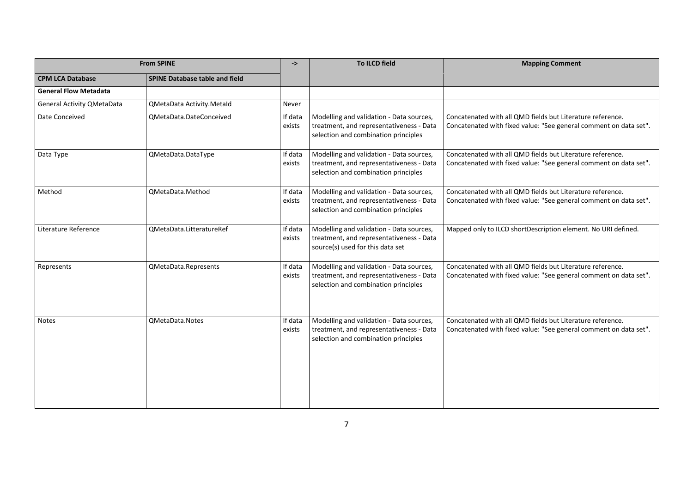|                                   | <b>From SPINE</b>                     |                   | To ILCD field                                                                                                                | <b>Mapping Comment</b>                                                                                                          |
|-----------------------------------|---------------------------------------|-------------------|------------------------------------------------------------------------------------------------------------------------------|---------------------------------------------------------------------------------------------------------------------------------|
| <b>CPM LCA Database</b>           | <b>SPINE Database table and field</b> |                   |                                                                                                                              |                                                                                                                                 |
| <b>General Flow Metadata</b>      |                                       |                   |                                                                                                                              |                                                                                                                                 |
| <b>General Activity QMetaData</b> | QMetaData Activity.Metald             | Never             |                                                                                                                              |                                                                                                                                 |
| Date Conceived                    | QMetaData.DateConceived               | If data<br>exists | Modelling and validation - Data sources,<br>treatment, and representativeness - Data<br>selection and combination principles | Concatenated with all QMD fields but Literature reference.<br>Concatenated with fixed value: "See general comment on data set". |
| Data Type                         | QMetaData.DataType                    | If data<br>exists | Modelling and validation - Data sources,<br>treatment, and representativeness - Data<br>selection and combination principles | Concatenated with all QMD fields but Literature reference.<br>Concatenated with fixed value: "See general comment on data set". |
| Method                            | QMetaData.Method                      | If data<br>exists | Modelling and validation - Data sources,<br>treatment, and representativeness - Data<br>selection and combination principles | Concatenated with all QMD fields but Literature reference.<br>Concatenated with fixed value: "See general comment on data set". |
| Literature Reference              | QMetaData.LitteratureRef              | If data<br>exists | Modelling and validation - Data sources,<br>treatment, and representativeness - Data<br>source(s) used for this data set     | Mapped only to ILCD shortDescription element. No URI defined.                                                                   |
| Represents                        | QMetaData.Represents                  | If data<br>exists | Modelling and validation - Data sources,<br>treatment, and representativeness - Data<br>selection and combination principles | Concatenated with all QMD fields but Literature reference.<br>Concatenated with fixed value: "See general comment on data set". |
| <b>Notes</b>                      | QMetaData.Notes                       | If data<br>exists | Modelling and validation - Data sources,<br>treatment, and representativeness - Data<br>selection and combination principles | Concatenated with all QMD fields but Literature reference.<br>Concatenated with fixed value: "See general comment on data set". |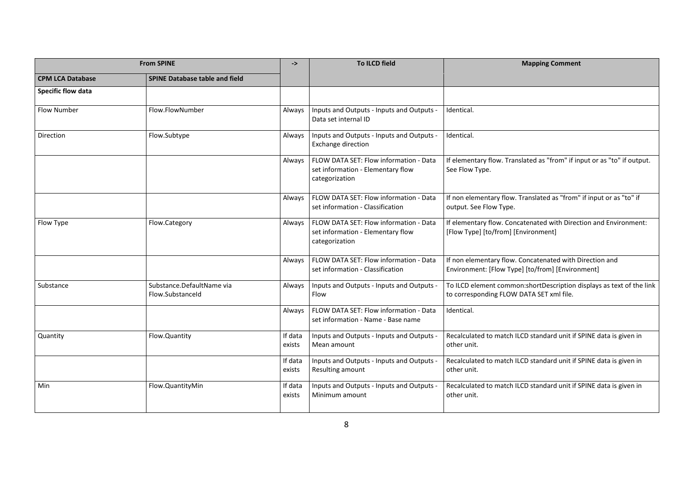| <b>From SPINE</b>         |                                               | ->                | <b>To ILCD field</b>                                                                          | <b>Mapping Comment</b>                                                                                             |
|---------------------------|-----------------------------------------------|-------------------|-----------------------------------------------------------------------------------------------|--------------------------------------------------------------------------------------------------------------------|
| <b>CPM LCA Database</b>   | <b>SPINE Database table and field</b>         |                   |                                                                                               |                                                                                                                    |
| <b>Specific flow data</b> |                                               |                   |                                                                                               |                                                                                                                    |
| <b>Flow Number</b>        | Flow.FlowNumber                               | Always            | Inputs and Outputs - Inputs and Outputs -<br>Data set internal ID                             | Identical.                                                                                                         |
| Direction                 | Flow.Subtype                                  | Always            | Inputs and Outputs - Inputs and Outputs<br><b>Exchange direction</b>                          | Identical.                                                                                                         |
|                           |                                               | Always            | FLOW DATA SET: Flow information - Data<br>set information - Elementary flow<br>categorization | If elementary flow. Translated as "from" if input or as "to" if output.<br>See Flow Type.                          |
|                           |                                               | Always            | FLOW DATA SET: Flow information - Data<br>set information - Classification                    | If non elementary flow. Translated as "from" if input or as "to" if<br>output. See Flow Type.                      |
| Flow Type                 | Flow.Category                                 | Always            | FLOW DATA SET: Flow information - Data<br>set information - Elementary flow<br>categorization | If elementary flow. Concatenated with Direction and Environment:<br>[Flow Type] [to/from] [Environment]            |
|                           |                                               | Always            | FLOW DATA SET: Flow information - Data<br>set information - Classification                    | If non elementary flow. Concatenated with Direction and<br>Environment: [Flow Type] [to/from] [Environment]        |
| Substance                 | Substance.DefaultName via<br>Flow.SubstanceId | Always            | Inputs and Outputs - Inputs and Outputs -<br>Flow                                             | To ILCD element common: short Description displays as text of the link<br>to corresponding FLOW DATA SET xml file. |
|                           |                                               | Always            | FLOW DATA SET: Flow information - Data<br>set information - Name - Base name                  | Identical.                                                                                                         |
| Quantity                  | Flow.Quantity                                 | If data<br>exists | Inputs and Outputs - Inputs and Outputs<br>Mean amount                                        | Recalculated to match ILCD standard unit if SPINE data is given in<br>other unit.                                  |
|                           |                                               | If data<br>exists | Inputs and Outputs - Inputs and Outputs -<br>Resulting amount                                 | Recalculated to match ILCD standard unit if SPINE data is given in<br>other unit.                                  |
| Min                       | Flow.QuantityMin                              | If data<br>exists | Inputs and Outputs - Inputs and Outputs<br>Minimum amount                                     | Recalculated to match ILCD standard unit if SPINE data is given in<br>other unit.                                  |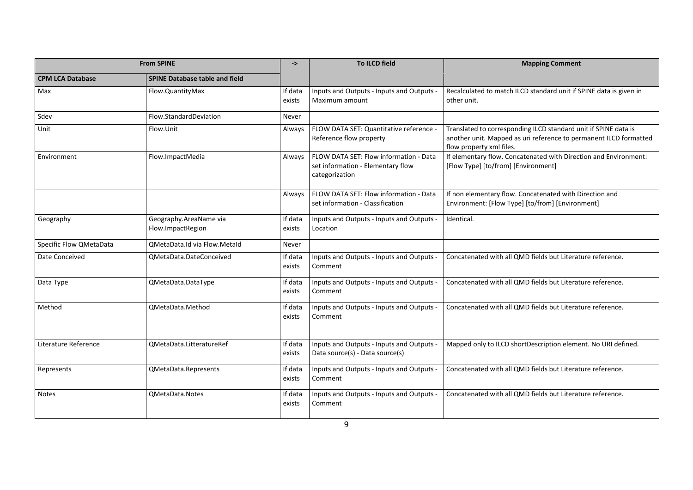| <b>From SPINE</b>       |                                             | $\rightarrow$     | <b>To ILCD field</b>                                                                          | <b>Mapping Comment</b>                                                                                                                                           |
|-------------------------|---------------------------------------------|-------------------|-----------------------------------------------------------------------------------------------|------------------------------------------------------------------------------------------------------------------------------------------------------------------|
| <b>CPM LCA Database</b> | <b>SPINE Database table and field</b>       |                   |                                                                                               |                                                                                                                                                                  |
| Max                     | Flow.QuantityMax                            | If data<br>exists | Inputs and Outputs - Inputs and Outputs -<br>Maximum amount                                   | Recalculated to match ILCD standard unit if SPINE data is given in<br>other unit.                                                                                |
| Sdev                    | Flow.StandardDeviation                      | Never             |                                                                                               |                                                                                                                                                                  |
| Unit                    | Flow.Unit                                   | Always            | FLOW DATA SET: Quantitative reference -<br>Reference flow property                            | Translated to corresponding ILCD standard unit if SPINE data is<br>another unit. Mapped as uri reference to permanent ILCD formatted<br>flow property xml files. |
| Environment             | Flow.ImpactMedia                            | Always            | FLOW DATA SET: Flow information - Data<br>set information - Elementary flow<br>categorization | If elementary flow. Concatenated with Direction and Environment:<br>[Flow Type] [to/from] [Environment]                                                          |
|                         |                                             | Always            | FLOW DATA SET: Flow information - Data<br>set information - Classification                    | If non elementary flow. Concatenated with Direction and<br>Environment: [Flow Type] [to/from] [Environment]                                                      |
| Geography               | Geography.AreaName via<br>Flow.ImpactRegion | If data<br>exists | Inputs and Outputs - Inputs and Outputs<br>Location                                           | Identical.                                                                                                                                                       |
| Specific Flow QMetaData | QMetaData.Id via Flow.MetaId                | Never             |                                                                                               |                                                                                                                                                                  |
| Date Conceived          | QMetaData.DateConceived                     | If data<br>exists | Inputs and Outputs - Inputs and Outputs<br>Comment                                            | Concatenated with all QMD fields but Literature reference.                                                                                                       |
| Data Type               | QMetaData.DataType                          | If data<br>exists | Inputs and Outputs - Inputs and Outputs<br>Comment                                            | Concatenated with all QMD fields but Literature reference.                                                                                                       |
| Method                  | QMetaData.Method                            | If data<br>exists | Inputs and Outputs - Inputs and Outputs<br>Comment                                            | Concatenated with all QMD fields but Literature reference.                                                                                                       |
| Literature Reference    | QMetaData.LitteratureRef                    | If data<br>exists | Inputs and Outputs - Inputs and Outputs<br>Data source(s) - Data source(s)                    | Mapped only to ILCD shortDescription element. No URI defined.                                                                                                    |
| Represents              | QMetaData.Represents                        | If data<br>exists | Inputs and Outputs - Inputs and Outputs<br>Comment                                            | Concatenated with all QMD fields but Literature reference.                                                                                                       |
| <b>Notes</b>            | QMetaData.Notes                             | If data<br>exists | Inputs and Outputs - Inputs and Outputs<br>Comment                                            | Concatenated with all QMD fields but Literature reference.                                                                                                       |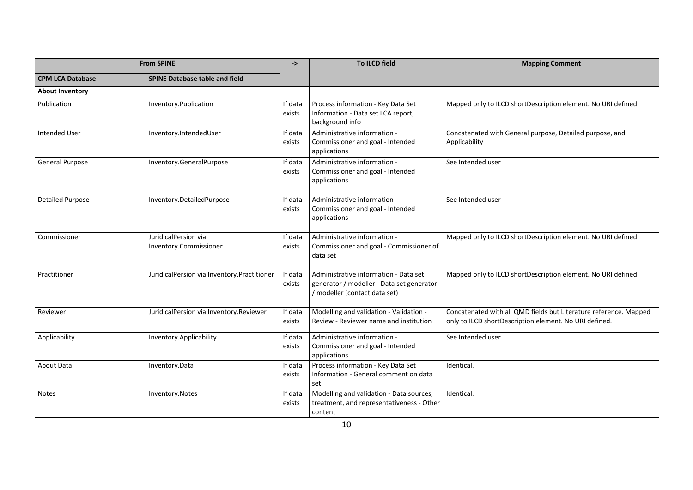| <b>From SPINE</b>       |                                                | ->                | <b>To ILCD field</b>                                                                                                | <b>Mapping Comment</b>                                                                                                      |
|-------------------------|------------------------------------------------|-------------------|---------------------------------------------------------------------------------------------------------------------|-----------------------------------------------------------------------------------------------------------------------------|
| <b>CPM LCA Database</b> | <b>SPINE Database table and field</b>          |                   |                                                                                                                     |                                                                                                                             |
| <b>About Inventory</b>  |                                                |                   |                                                                                                                     |                                                                                                                             |
| Publication             | Inventory.Publication                          | If data<br>exists | Process information - Key Data Set<br>Information - Data set LCA report,<br>background info                         | Mapped only to ILCD shortDescription element. No URI defined.                                                               |
| <b>Intended User</b>    | Inventory.IntendedUser                         | If data<br>exists | Administrative information -<br>Commissioner and goal - Intended<br>applications                                    | Concatenated with General purpose, Detailed purpose, and<br>Applicability                                                   |
| <b>General Purpose</b>  | Inventory.GeneralPurpose                       | If data<br>exists | Administrative information -<br>Commissioner and goal - Intended<br>applications                                    | See Intended user                                                                                                           |
| <b>Detailed Purpose</b> | Inventory.DetailedPurpose                      | If data<br>exists | Administrative information -<br>Commissioner and goal - Intended<br>applications                                    | See Intended user                                                                                                           |
| Commissioner            | JuridicalPersion via<br>Inventory.Commissioner | If data<br>exists | Administrative information -<br>Commissioner and goal - Commissioner of<br>data set                                 | Mapped only to ILCD shortDescription element. No URI defined.                                                               |
| Practitioner            | JuridicalPersion via Inventory.Practitioner    | If data<br>exists | Administrative information - Data set<br>generator / modeller - Data set generator<br>/ modeller (contact data set) | Mapped only to ILCD shortDescription element. No URI defined.                                                               |
| Reviewer                | JuridicalPersion via Inventory.Reviewer        | If data<br>exists | Modelling and validation - Validation -<br>Review - Reviewer name and institution                                   | Concatenated with all QMD fields but Literature reference. Mapped<br>only to ILCD shortDescription element. No URI defined. |
| Applicability           | Inventory.Applicability                        | If data<br>exists | Administrative information -<br>Commissioner and goal - Intended<br>applications                                    | See Intended user                                                                                                           |
| About Data              | Inventory.Data                                 | If data<br>exists | Process information - Key Data Set<br>Information - General comment on data<br>set                                  | Identical.                                                                                                                  |
| <b>Notes</b>            | Inventory.Notes                                | If data<br>exists | Modelling and validation - Data sources,<br>treatment, and representativeness - Other<br>content                    | Identical.                                                                                                                  |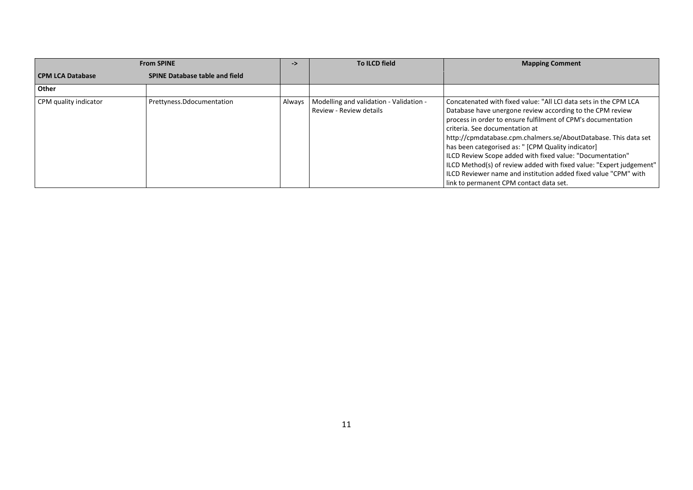| <b>From SPINE</b>     |                                       | ->     | To ILCD field                                                      | <b>Mapping Comment</b>                                                                                                                                                                                                                                                                                                                                                                                                                                                                                                                                                                                     |
|-----------------------|---------------------------------------|--------|--------------------------------------------------------------------|------------------------------------------------------------------------------------------------------------------------------------------------------------------------------------------------------------------------------------------------------------------------------------------------------------------------------------------------------------------------------------------------------------------------------------------------------------------------------------------------------------------------------------------------------------------------------------------------------------|
| CPM LCA Database      | <b>SPINE Database table and field</b> |        |                                                                    |                                                                                                                                                                                                                                                                                                                                                                                                                                                                                                                                                                                                            |
| Other                 |                                       |        |                                                                    |                                                                                                                                                                                                                                                                                                                                                                                                                                                                                                                                                                                                            |
| CPM quality indicator | Prettyness.Ddocumentation             | Always | Modelling and validation - Validation -<br>Review - Review details | Concatenated with fixed value: "All LCI data sets in the CPM LCA<br>Database have unergone review according to the CPM review<br>process in order to ensure fulfilment of CPM's documentation<br>criteria. See documentation at<br>http://cpmdatabase.cpm.chalmers.se/AboutDatabase. This data set<br>has been categorised as: " [CPM Quality indicator]<br>ILCD Review Scope added with fixed value: "Documentation"<br>ILCD Method(s) of review added with fixed value: "Expert judgement"<br>ILCD Reviewer name and institution added fixed value "CPM" with<br>link to permanent CPM contact data set. |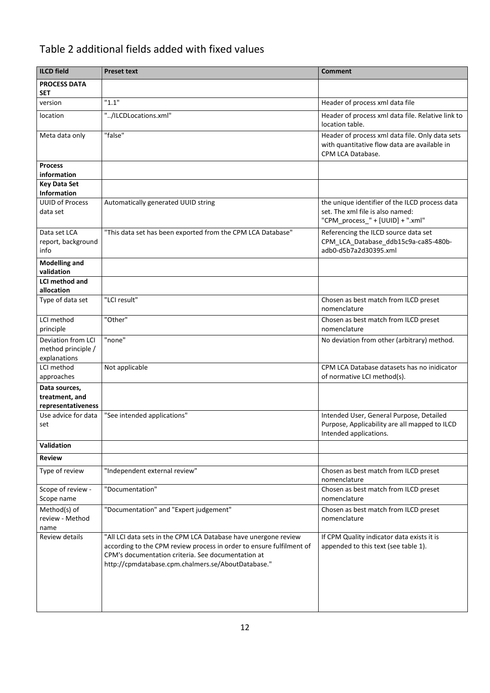## Table 2 additional fields added with fixed values

| <b>ILCD</b> field                                     | <b>Preset text</b>                                                                                                                                                                                                                                  | <b>Comment</b>                                                                                                         |
|-------------------------------------------------------|-----------------------------------------------------------------------------------------------------------------------------------------------------------------------------------------------------------------------------------------------------|------------------------------------------------------------------------------------------------------------------------|
| <b>PROCESS DATA</b>                                   |                                                                                                                                                                                                                                                     |                                                                                                                        |
| <b>SET</b>                                            |                                                                                                                                                                                                                                                     |                                                                                                                        |
| version                                               | "1.1"                                                                                                                                                                                                                                               | Header of process xml data file                                                                                        |
| location                                              | "/ILCDLocations.xml"                                                                                                                                                                                                                                | Header of process xml data file. Relative link to<br>location table.                                                   |
| Meta data only                                        | "false"                                                                                                                                                                                                                                             | Header of process xml data file. Only data sets<br>with quantitative flow data are available in<br>CPM LCA Database.   |
| <b>Process</b><br>information                         |                                                                                                                                                                                                                                                     |                                                                                                                        |
| <b>Key Data Set</b><br>Information                    |                                                                                                                                                                                                                                                     |                                                                                                                        |
| <b>UUID of Process</b><br>data set                    | Automatically generated UUID string                                                                                                                                                                                                                 | the unique identifier of the ILCD process data<br>set. The xml file is also named:<br>"CPM_process_" + [UUID] + ".xml" |
| Data set LCA<br>report, background<br>info            | "This data set has been exported from the CPM LCA Database"                                                                                                                                                                                         | Referencing the ILCD source data set<br>CPM_LCA_Database_ddb15c9a-ca85-480b-<br>adb0-d5b7a2d30395.xml                  |
| <b>Modelling and</b><br>validation                    |                                                                                                                                                                                                                                                     |                                                                                                                        |
| LCI method and                                        |                                                                                                                                                                                                                                                     |                                                                                                                        |
| allocation                                            |                                                                                                                                                                                                                                                     |                                                                                                                        |
| Type of data set                                      | "LCI result"                                                                                                                                                                                                                                        | Chosen as best match from ILCD preset<br>nomenclature                                                                  |
| LCI method<br>principle                               | "Other"                                                                                                                                                                                                                                             | Chosen as best match from ILCD preset<br>nomenclature                                                                  |
| Deviation from LCI<br>method principle /              | "none"                                                                                                                                                                                                                                              | No deviation from other (arbitrary) method.                                                                            |
| explanations                                          |                                                                                                                                                                                                                                                     |                                                                                                                        |
| LCI method                                            | Not applicable                                                                                                                                                                                                                                      | CPM LCA Database datasets has no inidicator                                                                            |
| approaches                                            |                                                                                                                                                                                                                                                     | of normative LCI method(s).                                                                                            |
| Data sources,<br>treatment, and<br>representativeness |                                                                                                                                                                                                                                                     |                                                                                                                        |
| Use advice for data<br>set                            | "See intended applications"                                                                                                                                                                                                                         | Intended User, General Purpose, Detailed<br>Purpose, Applicability are all mapped to ILCD<br>Intended applications.    |
| Validation                                            |                                                                                                                                                                                                                                                     |                                                                                                                        |
| <b>Review</b>                                         |                                                                                                                                                                                                                                                     |                                                                                                                        |
| Type of review                                        | "Independent external review"                                                                                                                                                                                                                       | Chosen as best match from ILCD preset<br>nomenclature                                                                  |
| Scope of review -<br>Scope name                       | "Documentation"                                                                                                                                                                                                                                     | Chosen as best match from ILCD preset<br>nomenclature                                                                  |
| Method(s) of<br>review - Method<br>name               | "Documentation" and "Expert judgement"                                                                                                                                                                                                              | Chosen as best match from ILCD preset<br>nomenclature                                                                  |
| Review details                                        | "All LCI data sets in the CPM LCA Database have unergone review<br>according to the CPM review process in order to ensure fulfilment of<br>CPM's documentation criteria. See documentation at<br>http://cpmdatabase.cpm.chalmers.se/AboutDatabase." | If CPM Quality indicator data exists it is<br>appended to this text (see table 1).                                     |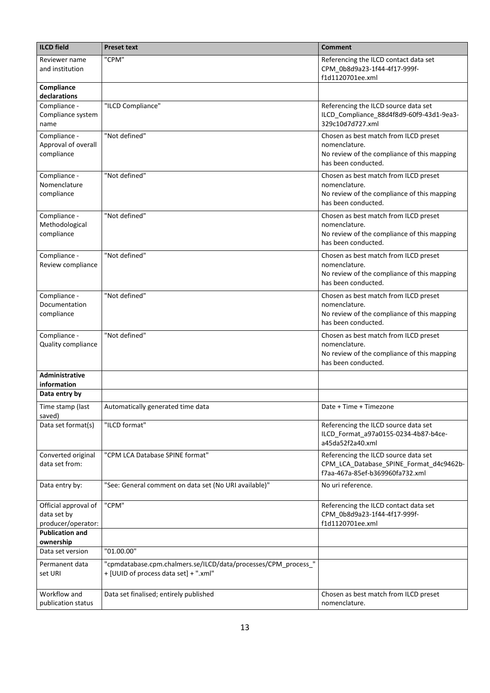| <b>ILCD</b> field                                         | <b>Preset text</b>                                                                                      | <b>Comment</b>                                                                                                               |
|-----------------------------------------------------------|---------------------------------------------------------------------------------------------------------|------------------------------------------------------------------------------------------------------------------------------|
| Reviewer name<br>and institution                          | "CPM"                                                                                                   | Referencing the ILCD contact data set<br>CPM 0b8d9a23-1f44-4f17-999f-<br>f1d1120701ee.xml                                    |
| Compliance<br>declarations                                |                                                                                                         |                                                                                                                              |
| Compliance -<br>Compliance system<br>name                 | "ILCD Compliance"                                                                                       | Referencing the ILCD source data set<br>ILCD_Compliance_88d4f8d9-60f9-43d1-9ea3-<br>329c10d7d727.xml                         |
| Compliance -<br>Approval of overall<br>compliance         | "Not defined"                                                                                           | Chosen as best match from ILCD preset<br>nomenclature.<br>No review of the compliance of this mapping<br>has been conducted. |
| Compliance -<br>Nomenclature<br>compliance                | "Not defined"                                                                                           | Chosen as best match from ILCD preset<br>nomenclature.<br>No review of the compliance of this mapping<br>has been conducted. |
| Compliance -<br>Methodological<br>compliance              | "Not defined"                                                                                           | Chosen as best match from ILCD preset<br>nomenclature.<br>No review of the compliance of this mapping<br>has been conducted. |
| Compliance -<br>Review compliance                         | "Not defined"                                                                                           | Chosen as best match from ILCD preset<br>nomenclature.<br>No review of the compliance of this mapping<br>has been conducted. |
| Compliance -<br>Documentation<br>compliance               | "Not defined"                                                                                           | Chosen as best match from ILCD preset<br>nomenclature.<br>No review of the compliance of this mapping<br>has been conducted. |
| Compliance -<br>Quality compliance                        | "Not defined"                                                                                           | Chosen as best match from ILCD preset<br>nomenclature.<br>No review of the compliance of this mapping<br>has been conducted. |
| <b>Administrative</b><br>information                      |                                                                                                         |                                                                                                                              |
| Data entry by                                             |                                                                                                         |                                                                                                                              |
| Time stamp (last<br>saved)                                | Automatically generated time data                                                                       | Date + Time + Timezone                                                                                                       |
| Data set format(s)                                        | "ILCD format"                                                                                           | Referencing the ILCD source data set<br>ILCD_Format_a97a0155-0234-4b87-b4ce-<br>a45da52f2a40.xml                             |
| Converted original<br>data set from:                      | "CPM LCA Database SPINE format"                                                                         | Referencing the ILCD source data set<br>CPM_LCA_Database_SPINE_Format_d4c9462b-<br>f7aa-467a-85ef-b369960fa732.xml           |
| Data entry by:                                            | "See: General comment on data set (No URI available)"                                                   | No uri reference.                                                                                                            |
| Official approval of<br>data set by<br>producer/operator: | "CPM"                                                                                                   | Referencing the ILCD contact data set<br>CPM_0b8d9a23-1f44-4f17-999f-<br>f1d1120701ee.xml                                    |
| <b>Publication and</b>                                    |                                                                                                         |                                                                                                                              |
| ownership                                                 |                                                                                                         |                                                                                                                              |
| Data set version                                          | "01.00.00"                                                                                              |                                                                                                                              |
| Permanent data<br>set URI                                 | "cpmdatabase.cpm.chalmers.se/ILCD/data/processes/CPM_process_"<br>+ [UUID of process data set] + ".xml" |                                                                                                                              |
| Workflow and<br>publication status                        | Data set finalised; entirely published                                                                  | Chosen as best match from ILCD preset<br>nomenclature.                                                                       |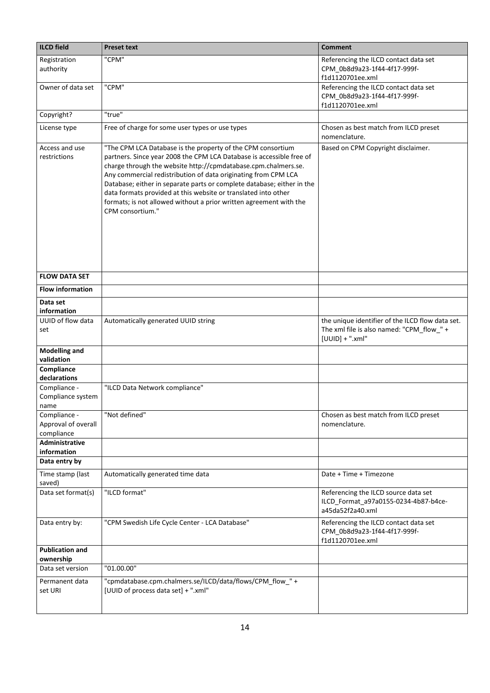| ILCD field                                        | <b>Preset text</b>                                                                                                                                                                                                                                                                                                                                                                                                                                                                                            | <b>Comment</b>                                                                                                     |
|---------------------------------------------------|---------------------------------------------------------------------------------------------------------------------------------------------------------------------------------------------------------------------------------------------------------------------------------------------------------------------------------------------------------------------------------------------------------------------------------------------------------------------------------------------------------------|--------------------------------------------------------------------------------------------------------------------|
| Registration<br>authority                         | "CPM"                                                                                                                                                                                                                                                                                                                                                                                                                                                                                                         | Referencing the ILCD contact data set<br>CPM 0b8d9a23-1f44-4f17-999f-<br>f1d1120701ee.xml                          |
| Owner of data set                                 | "CPM"                                                                                                                                                                                                                                                                                                                                                                                                                                                                                                         | Referencing the ILCD contact data set<br>CPM 0b8d9a23-1f44-4f17-999f-<br>f1d1120701ee.xml                          |
| Copyright?                                        | "true"                                                                                                                                                                                                                                                                                                                                                                                                                                                                                                        |                                                                                                                    |
| License type                                      | Free of charge for some user types or use types                                                                                                                                                                                                                                                                                                                                                                                                                                                               | Chosen as best match from ILCD preset<br>nomenclature.                                                             |
| Access and use<br>restrictions                    | "The CPM LCA Database is the property of the CPM consortium<br>partners. Since year 2008 the CPM LCA Database is accessible free of<br>charge through the website http://cpmdatabase.cpm.chalmers.se.<br>Any commercial redistribution of data originating from CPM LCA<br>Database; either in separate parts or complete database; either in the<br>data formats provided at this website or translated into other<br>formats; is not allowed without a prior written agreement with the<br>CPM consortium." | Based on CPM Copyright disclaimer.                                                                                 |
| <b>FLOW DATA SET</b>                              |                                                                                                                                                                                                                                                                                                                                                                                                                                                                                                               |                                                                                                                    |
| <b>Flow information</b>                           |                                                                                                                                                                                                                                                                                                                                                                                                                                                                                                               |                                                                                                                    |
| Data set                                          |                                                                                                                                                                                                                                                                                                                                                                                                                                                                                                               |                                                                                                                    |
| information                                       |                                                                                                                                                                                                                                                                                                                                                                                                                                                                                                               |                                                                                                                    |
| UUID of flow data<br>set                          | Automatically generated UUID string                                                                                                                                                                                                                                                                                                                                                                                                                                                                           | the unique identifier of the ILCD flow data set.<br>The xml file is also named: "CPM_flow_" +<br>$[UUID] + ".xml"$ |
| <b>Modelling and</b><br>validation                |                                                                                                                                                                                                                                                                                                                                                                                                                                                                                                               |                                                                                                                    |
| Compliance<br>declarations                        |                                                                                                                                                                                                                                                                                                                                                                                                                                                                                                               |                                                                                                                    |
| Compliance -<br>Compliance system<br>name         | "ILCD Data Network compliance"                                                                                                                                                                                                                                                                                                                                                                                                                                                                                |                                                                                                                    |
| Compliance -<br>Approval of overall<br>compliance | "Not defined"                                                                                                                                                                                                                                                                                                                                                                                                                                                                                                 | Chosen as best match from ILCD preset<br>nomenclature.                                                             |
| <b>Administrative</b><br>information              |                                                                                                                                                                                                                                                                                                                                                                                                                                                                                                               |                                                                                                                    |
| Data entry by                                     |                                                                                                                                                                                                                                                                                                                                                                                                                                                                                                               |                                                                                                                    |
| Time stamp (last<br>saved)                        | Automatically generated time data                                                                                                                                                                                                                                                                                                                                                                                                                                                                             | Date + Time + Timezone                                                                                             |
| Data set format(s)                                | "ILCD format"                                                                                                                                                                                                                                                                                                                                                                                                                                                                                                 | Referencing the ILCD source data set<br>ILCD_Format_a97a0155-0234-4b87-b4ce-<br>a45da52f2a40.xml                   |
| Data entry by:                                    | "CPM Swedish Life Cycle Center - LCA Database"                                                                                                                                                                                                                                                                                                                                                                                                                                                                | Referencing the ILCD contact data set<br>CPM_0b8d9a23-1f44-4f17-999f-<br>f1d1120701ee.xml                          |
| <b>Publication and</b><br>ownership               |                                                                                                                                                                                                                                                                                                                                                                                                                                                                                                               |                                                                                                                    |
| Data set version                                  | "01.00.00"                                                                                                                                                                                                                                                                                                                                                                                                                                                                                                    |                                                                                                                    |
| Permanent data<br>set URI                         | "cpmdatabase.cpm.chalmers.se/ILCD/data/flows/CPM_flow_" +<br>[UUID of process data set] + ".xml"                                                                                                                                                                                                                                                                                                                                                                                                              |                                                                                                                    |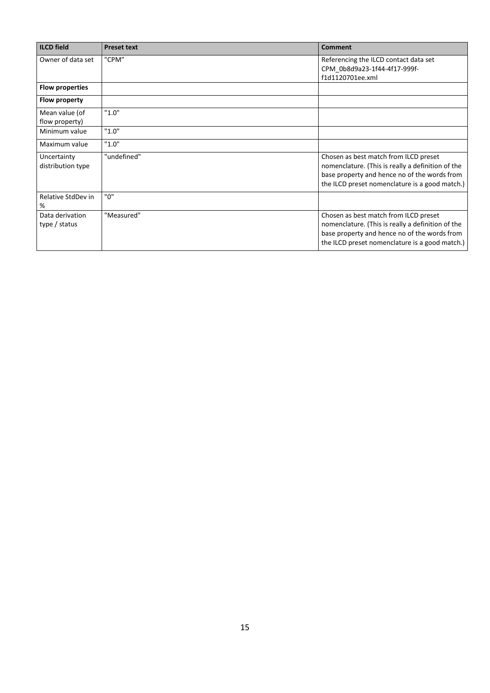| <b>ILCD</b> field                | <b>Preset text</b> | <b>Comment</b>                                                                                                                                                                               |
|----------------------------------|--------------------|----------------------------------------------------------------------------------------------------------------------------------------------------------------------------------------------|
| Owner of data set                | "CPM"              | Referencing the ILCD contact data set<br>CPM 0b8d9a23-1f44-4f17-999f-<br>f1d1120701ee.xml                                                                                                    |
| <b>Flow properties</b>           |                    |                                                                                                                                                                                              |
| Flow property                    |                    |                                                                                                                                                                                              |
| Mean value (of<br>flow property) | "1.0"              |                                                                                                                                                                                              |
| Minimum value                    | "1.0"              |                                                                                                                                                                                              |
| Maximum value                    | "1.0"              |                                                                                                                                                                                              |
| Uncertainty<br>distribution type | "undefined"        | Chosen as best match from ILCD preset<br>nomenclature. (This is really a definition of the<br>base property and hence no of the words from<br>the ILCD preset nomenclature is a good match.) |
| Relative StdDev in<br>%          | "ח"                |                                                                                                                                                                                              |
| Data derivation<br>type / status | "Measured"         | Chosen as best match from ILCD preset<br>nomenclature. (This is really a definition of the<br>base property and hence no of the words from<br>the ILCD preset nomenclature is a good match.) |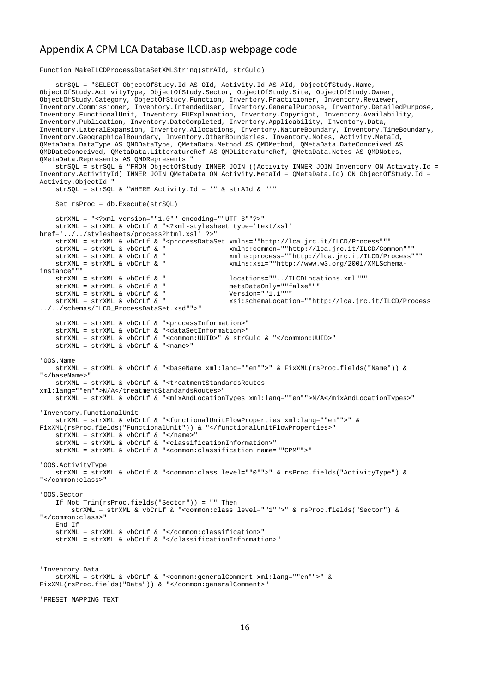#### Appendix A CPM LCA Database ILCD.asp webpage code

Function MakeILCDProcessDataSetXMLString(strAId, strGuid)

 strSQL = "SELECT ObjectOfStudy.Id AS OId, Activity.Id AS AId, ObjectOfStudy.Name, ObjectOfStudy.ActivityType, ObjectOfStudy.Sector, ObjectOfStudy.Site, ObjectOfStudy.Owner, ObjectOfStudy.Category, ObjectOfStudy.Function, Inventory.Practitioner, Inventory.Reviewer, Inventory.Commissioner, Inventory.IntendedUser, Inventory.GeneralPurpose, Inventory.DetailedPurpose, Inventory.FunctionalUnit, Inventory.FUExplanation, Inventory.Copyright, Inventory.Availability, Inventory.Publication, Inventory.DateCompleted, Inventory.Applicability, Inventory.Data, Inventory.LateralExpansion, Inventory.Allocations, Inventory.NatureBoundary, Inventory.TimeBoundary, Inventory.GeographicalBoundary, Inventory.OtherBoundaries, Inventory.Notes, Activity.MetaId, QMetaData.DataType AS QMDDataType, QMetaData.Method AS QMDMethod, QMetaData.DateConceived AS QMDDateConceived, QMetaData.LitteratureRef AS QMDLiteratureRef, QMetaData.Notes AS QMDNotes, QMetaData.Represents AS QMDRepresents " strSQL = strSQL & "FROM ObjectOfStudy INNER JOIN ((Activity INNER JOIN Inventory ON Activity.Id = Inventory.ActivityId) INNER JOIN QMetaData ON Activity.MetaId = QMetaData.Id) ON ObjectOfStudy.Id = Activity.ObjectId " strSQL = strSQL & "WHERE Activity.Id = '" & strAId & "'" Set rsProc = db.Execute(strSQL) strXML = "<?xml version=""1.0"" encoding=""UTF-8""?>" strXML = strXML & vbCrLf & "<?xml-stylesheet type='text/xsl' href='../../stylesheets/process2html.xsl' ?>" strXML = strXML & vbCrLf & "<processDataSet xmlns=""http://lca.jrc.it/ILCD/Process""" strXML = strXML & vbCrLf & " xmlns:common=""http://lca.jrc.it/ILCD/Common""" strXML = strXML & vbCrLf & " xmlns:process=""http://lca.jrc.it/ILCD/Process""" xmlns:xsi=""http://www.w3.org/2001/XMLSchemainstance"""<br>strXML = strXML & vbCrLf & " locations=""../ILCDLocations.xml"""<br>metaDataOnly=""false"""  $\begin{array}{lllllll} \texttt{strXML} & = & \texttt{strXML} & \texttt{w} \texttt{DCLLf} & \texttt{w} & \texttt{metalDataOnly=" "f} \\ \texttt{strXML} & = & \texttt{strXML} & \texttt{w} \texttt{DCLLf} & \texttt{w} & \texttt{w} & \texttt{Nersion="1."1"} \end{array}$ strXML = strXML & vbCrLf & "<br>strXML = strXML & vbCrLf & " strXML = strXML & vbCrLf & " xsi:schemaLocation=""http://lca.jrc.it/ILCD/Process ../../schemas/ILCD\_ProcessDataSet.xsd"">" strXML = strXML & vbCrLf & "<processInformation>" strXML = strXML & vbCrLf & "<dataSetInformation>" strXML = strXML & vbCrLf & "<common:UUID>" & strGuid & "</common:UUID>" strXML = strXML & vbCrLf & "<name>" 'OOS.Name strXML = strXML & vbCrLf & "<baseName xml:lang=""en"">" & FixXML(rsProc.fields("Name")) & "</baseName>" strXML = strXML & vbCrLf & "<treatmentStandardsRoutes xml:lang=""en"">N/A</treatmentStandardsRoutes>" strXML = strXML & vbCrLf & "<mixAndLocationTypes xml:lang=""en"">N/A</mixAndLocationTypes>" 'Inventory.FunctionalUnit strXML = strXML & vbCrLf & "<functionalUnitFlowProperties xml:lang=""en"">" & FixXML(rsProc.fields("FunctionalUnit")) & "</functionalUnitFlowProperties>" strXML = strXML & vbCrLf & "</name>" strXML = strXML & vbCrLf & "<classificationInformation>" strXML = strXML & vbCrLf & "<common:classification name=""CPM"">" 'OOS.ActivityType strXML = strXML & vbCrLf & "<common:class level=""0"">" & rsProc.fields("ActivityType") & "</common:class>" 'OOS.Sector If Not Trim(rsProc.fields("Sector")) = "" Then strXML = strXML & vbCrLf & "<common:class level=""1"">" & rsProc.fields("Sector") & "</common:class>" End If strXML = strXML & vbCrLf & "</common:classification>" strXML = strXML & vbCrLf & "</classificationInformation>" 'Inventory.Data strXML = strXML & vbCrLf & "<common:generalComment xml:lang=""en"">" & FixXML(rsProc.fields("Data")) & "</common:generalComment>" 'PRESET MAPPING TEXT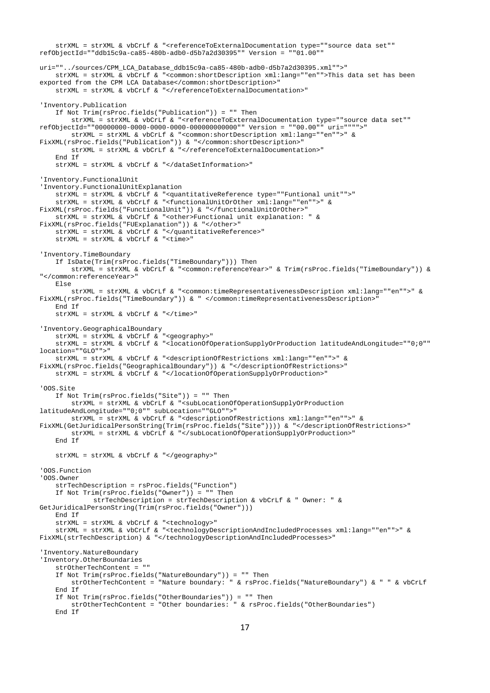```
 strXML = strXML & vbCrLf & "<referenceToExternalDocumentation type=""source data set"" 
refObjectId=""ddb15c9a-ca85-480b-adb0-d5b7a2d30395"" Version = ""01.00"" 
uri=""../sources/CPM_LCA_Database_ddb15c9a-ca85-480b-adb0-d5b7a2d30395.xml"">"
    strXML = strXML & vbCrLf & "<common:shortDescription xml:lang=""en"">This data set has been 
exported from the CPM LCA Database</common:shortDescription>"
   strXML = strXML & vbCrLf & "</referenceToExternalDocumentation>"
'Inventory.Publication
     If Not Trim(rsProc.fields("Publication")) = "" Then
        strXML = strXML & vbCrLf & "<referenceToExternalDocumentation type=""source data set"" 
refObjectId=""00000000-0000-0000-0000-000000000000"" Version = ""00.00"" uri="""">"
         strXML = strXML & vbCrLf & "<common:shortDescription xml:lang=""en"">" & 
FixXML(rsProc.fields("Publication")) & "</common:shortDescription>"
       strXML = strXML & vbCrLf & "</referenceToExternalDocumentation>"
     End If
    strXML = strXML & vbCrLf & "</dataSetInformation>"
'Inventory.FunctionalUnit
'Inventory.FunctionalUnitExplanation
     strXML = strXML & vbCrLf & "<quantitativeReference type=""Funtional unit"">"
    strXML = strXML & vbCrLf & "<functionalUnitOrOther xml:lang=""en"">" & 
FixXML(rsProc.fields("FunctionalUnit")) & "</functionalUnitOrOther>"
    strXML = strXML & vbCrLf & "<other>Functional unit explanation: " & 
FixXML(rsProc.fields("FUExplanation")) & "</other>"
    strXML = strXML & vbCrLf & "</quantitativeReference>"
    strXML = strXML & vbCrLf & "<time>"
'Inventory.TimeBoundary
     If IsDate(Trim(rsProc.fields("TimeBoundary"))) Then
        strXML = strXML & vbCrLf & "<common:referenceYear>" & Trim(rsProc.fields("TimeBoundary")) & 
"</common:referenceYear>"
    Else
        strXML = strXML & vbCrLf & "<common:timeRepresentativenessDescription xml:lang=""en"">" & 
FixXML(rsProc.fields("TimeBoundary")) & " </common:timeRepresentativenessDescription>"
    End If
    strXML = strXML & vbcTLF & vccT'Inventory.GeographicalBoundary
     strXML = strXML & vbCrLf & "<geography>"
    strXML = strXML & vbCrLf & "<locationOfOperationSupplyOrProduction latitudeAndLongitude=""0;0"" 
location=""GLO"">"
    strXML = strXML & vbCrLf & "<descriptionOfRestrictions xml:lang=""en"">" & 
FixXML(rsProc.fields("GeographicalBoundary")) & "</descriptionOfRestrictions>"
    strXML = strXML & vbCrLf & "</locationOfOperationSupplyOrProduction>"
'OOS.Site
    If Not Trim(rsProc.fields("Site")) = "" Then
         strXML = strXML & vbCrLf & "<subLocationOfOperationSupplyOrProduction 
latitudeAndLongitude=""0;0"" subLocation=""GLO"">"
        strXML = strXML & vbCrLf & "<descriptionOfRestrictions xml:lang=""en"">" & 
FixXML(GetJuridicalPersonString(Trim(rsProc.fields("Site")))) & "</descriptionOfRestrictions>"
         strXML = strXML & vbCrLf & "</subLocationOfOperationSupplyOrProduction>"
     End If
    strXML = strXML & vbCrLf & "</geography>"
'OOS.Function
'OOS.Owner
     strTechDescription = rsProc.fields("Function")
    If Not Trim(rsProc.fields("Owner")) = "" Then
              strTechDescription = strTechDescription & vbCrLf & " Owner: " & 
GetJuridicalPersonString(Trim(rsProc.fields("Owner")))
    End If
 strXML = strXML & vbCrLf & "<technology>"
 strXML = strXML & vbCrLf & "<technologyDescriptionAndIncludedProcesses xml:lang=""en"">" & 
FixXML(strTechDescription) & "</technologyDescriptionAndIncludedProcesses>"
'Inventory.NatureBoundary
'Inventory.OtherBoundaries
     strOtherTechContent = ""
    If Not Trim(rsProc.fields("NatureBoundary")) = "" Then
        strOtherTechContent = "Nature boundary: " & rsProc.fields("NatureBoundary") & " " & vbCrLf
    End If
 If Not Trim(rsProc.fields("OtherBoundaries")) = "" Then
 strOtherTechContent = "Other boundaries: " & rsProc.fields("OtherBoundaries")
     End If
```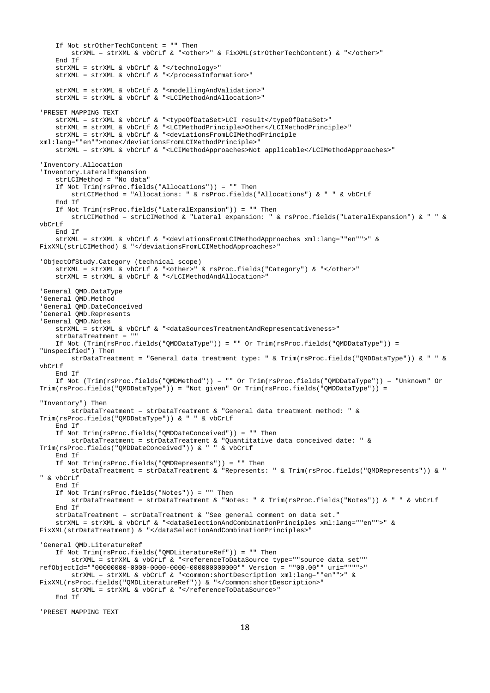```
 If Not strOtherTechContent = "" Then
        strXML = strXML \& vbCrLf \& "cother>'' \& FixXML(strDechContent) \& "c/other>'' End If
    strXML = strXML & vbCrLf & "</technology>"
     strXML = strXML & vbCrLf & "</processInformation>"
     strXML = strXML & vbCrLf & "<modellingAndValidation>"
     strXML = strXML & vbCrLf & "<LCIMethodAndAllocation>"
'PRESET MAPPING TEXT
    strXML = strXML & vbCrLf & "<typeOfDataSet>LCI result</typeOfDataSet>"
     strXML = strXML & vbCrLf & "<LCIMethodPrinciple>Other</LCIMethodPrinciple>"
     strXML = strXML & vbCrLf & "<deviationsFromLCIMethodPrinciple 
xml:lang=""en"">none</deviationsFromLCIMethodPrinciple>"
     strXML = strXML & vbCrLf & "<LCIMethodApproaches>Not applicable</LCIMethodApproaches>"
'Inventory.Allocation
'Inventory.LateralExpansion
     strLCIMethod = "No data"
     If Not Trim(rsProc.fields("Allocations")) = "" Then
         strLCIMethod = "Allocations: " & rsProc.fields("Allocations") & " " & vbCrLf
     End If
     If Not Trim(rsProc.fields("LateralExpansion")) = "" Then
         strLCIMethod = strLCIMethod & "Lateral expansion: " & rsProc.fields("LateralExpansion") & " " & 
vbCrLf
     End If
     strXML = strXML & vbCrLf & "<deviationsFromLCIMethodApproaches xml:lang=""en"">" & 
FixXML(strLCIMethod) & "</deviationsFromLCIMethodApproaches>"
'ObjectOfStudy.Category (technical scope)
    strXML = strXML & vbCrLf & "<other>" & rsProc.fields("Category") & "</other>"
     strXML = strXML & vbCrLf & "</LCIMethodAndAllocation>"
'General QMD.DataType
'General QMD.Method
'General QMD.DateConceived
'General QMD.Represents
'General QMD.Notes
    strxML = strxML & vbcTLf & "<dataSourcesTreatmentAndRepresentativeness>"
     strDataTreatment = ""
    If Not (Trim(rsProc.fields("QMDDataType")) = "" Or Trim(rsProc.fields("QMDDataType")) = 
"Unspecified") Then
        strDataTreatment = "General data treatment type: " & Trim(rsProc.fields("QMDDataType")) & " " & 
vbCrLf
     End If
     If Not (Trim(rsProc.fields("QMDMethod")) = "" Or Trim(rsProc.fields("QMDDataType")) = "Unknown" Or 
Trim(rsProc.fields("QMDDataType")) = "Not given" Or Trim(rsProc.fields("QMDDataType")) = 
"Inventory") Then
         strDataTreatment = strDataTreatment & "General data treatment method: " & 
Trim(rsProc.fields("QMDDataType")) & " " & vbCrLf
     End If
     If Not Trim(rsProc.fields("QMDDateConceived")) = "" Then
        strDataTreatment = strDataTreatment & "Quantitative data conceived date: " & 
Trim(rsProc.fields("QMDDateConceived")) & " " & vbCrLf
     End If
     If Not Trim(rsProc.fields("QMDRepresents")) = "" Then
         strDataTreatment = strDataTreatment & "Represents: " & Trim(rsProc.fields("QMDRepresents")) & " 
" & vbCrLf
     End If
     If Not Trim(rsProc.fields("Notes")) = "" Then
         strDataTreatment = strDataTreatment & "Notes: " & Trim(rsProc.fields("Notes")) & " " & vbCrLf
     End If
     strDataTreatment = strDataTreatment & "See general comment on data set."
     strXML = strXML & vbCrLf & "<dataSelectionAndCombinationPrinciples xml:lang=""en"">" & 
FixXML(strDataTreatment) & "</dataSelectionAndCombinationPrinciples>"
'General QMD.LiteratureRef
     If Not Trim(rsProc.fields("QMDLiteratureRef")) = "" Then
         strXML = strXML & vbCrLf & "<referenceToDataSource type=""source data set"" 
refObjectId=""00000000-0000-0000-0000-000000000000"" Version = ""00.00"" uri="""">"
         strXML = strXML & vbCrLf & "<common:shortDescription xml:lang=""en"">" & 
FixXML(rsProc.fields("QMDLiteratureRef")) & "</common:shortDescription>"
         strXML = strXML & vbCrLf & "</referenceToDataSource>"
     End If
```
'PRESET MAPPING TEXT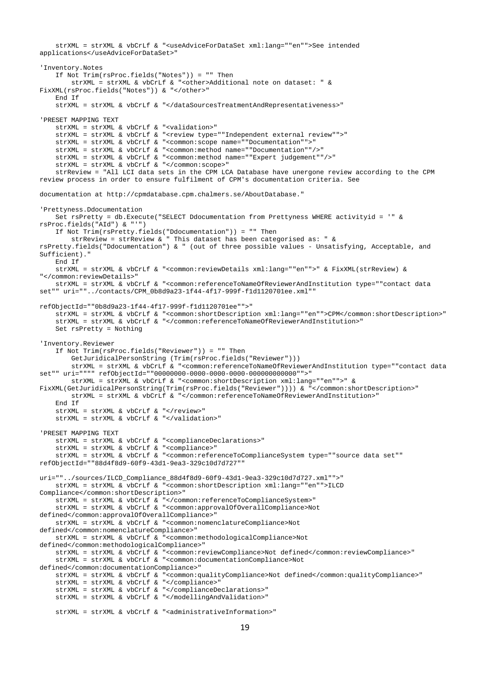```
 strXML = strXML & vbCrLf & "<useAdviceForDataSet xml:lang=""en"">See intended 
applications</useAdviceForDataSet>"
'Inventory.Notes
     If Not Trim(rsProc.fields("Notes")) = "" Then
         strXML = strXML & vbCrLf & "<other>Additional note on dataset: " & 
FixXML(rsProc.fields("Notes")) & "</other>"
     End If
     strXML = strXML & vbCrLf & "</dataSourcesTreatmentAndRepresentativeness>"
'PRESET MAPPING TEXT
    strXML = strXML & vbCrLf & "<validation>"
     strXML = strXML & vbCrLf & "<review type=""Independent external review"">"
     strXML = strXML & vbCrLf & "<common:scope name=""Documentation"">"
     strXML = strXML & vbCrLf & "<common:method name=""Documentation""/>"
     strXML = strXML & vbCrLf & "<common:method name=""Expert judgement""/>"
     strXML = strXML & vbCrLf & "</common:scope>"
     strReview = "All LCI data sets in the CPM LCA Database have unergone review according to the CPM 
review process in order to ensure fulfilment of CPM's documentation criteria. See 
documentation at http://cpmdatabase.cpm.chalmers.se/AboutDatabase."
'Prettyness.Ddocumentation
     Set rsPretty = db.Execute("SELECT Ddocumentation from Prettyness WHERE activityid = '" & 
rsProc.fields("AId") & "'")
     If Not Trim(rsPretty.fields("Ddocumentation")) = "" Then
       strReview = strReview \& " This dataset has been categorised as: " \&rsPretty.fields("Ddocumentation") & " (out of three possible values - Unsatisfying, Acceptable, and 
Sufficient)."
    End If
     strXML = strXML & vbCrLf & "<common:reviewDetails xml:lang=""en"">" & FixXML(strReview) & 
"</common:reviewDetails>"
    strXML = strXML & vbCrLf & "<common:referenceToNameOfReviewerAndInstitution type=""contact data 
set"" uri=""../contacts/CPM_0b8d9a23-1f44-4f17-999f-f1d1120701ee.xml""
refObjectId=""0b8d9a23-1f44-4f17-999f-f1d1120701ee"">"
     strXML = strXML & vbCrLf & "<common:shortDescription xml:lang=""en"">CPM</common:shortDescription>"
     strXML = strXML & vbCrLf & "</common:referenceToNameOfReviewerAndInstitution>"
    Set rsPretty = Nothing
'Inventory.Reviewer
     If Not Trim(rsProc.fields("Reviewer")) = "" Then
         GetJuridicalPersonString (Trim(rsProc.fields("Reviewer")))
         strXML = strXML & vbCrLf & "<common:referenceToNameOfReviewerAndInstitution type=""contact data 
set"" uri="""" refObjectId=""00000000-0000-0000-0000-000000000000"">"
         strXML = strXML & vbCrLf & "<common:shortDescription xml:lang=""en"">" & 
FixXML(GetJuridicalPersonString(Trim(rsProc.fields("Reviewer")))) & "</common:shortDescription>"
         strXML = strXML & vbCrLf & "</common:referenceToNameOfReviewerAndInstitution>"
     End If
     strXML = strXML & vbCrLf & "</review>"
    strXML = strXML & vbCrLf & "</validation>"
'PRESET MAPPING TEXT
     strXML = strXML & vbCrLf & "<complianceDeclarations>"
     strXML = strXML & vbCrLf & "<compliance>"
     strXML = strXML & vbCrLf & "<common:referenceToComplianceSystem type=""source data set"" 
refObjectId=""88d4f8d9-60f9-43d1-9ea3-329c10d7d727"" 
uri=""../sources/ILCD_Compliance_88d4f8d9-60f9-43d1-9ea3-329c10d7d727.xml"">"
    strXML = strXML & vbCrLf & "<common:shortDescription xml:lang=""en"">ILCD 
Compliance</common:shortDescription>"
     strXML = strXML & vbCrLf & "</common:referenceToComplianceSystem>"
     strXML = strXML & vbCrLf & "<common:approvalOfOverallCompliance>Not 
defined</common:approvalOfOverallCompliance>"
     strXML = strXML & vbCrLf & "<common:nomenclatureCompliance>Not 
defined</common:nomenclatureCompliance>"
     strXML = strXML & vbCrLf & "<common:methodologicalCompliance>Not 
defined</common:methodologicalCompliance>"
     strXML = strXML & vbCrLf & "<common:reviewCompliance>Not defined</common:reviewCompliance>"
     strXML = strXML & vbCrLf & "<common:documentationCompliance>Not 
defined</common:documentationCompliance>"
     strXML = strXML & vbCrLf & "<common:qualityCompliance>Not defined</common:qualityCompliance>"
     strXML = strXML & vbCrLf & "</compliance>"
     strXML = strXML & vbCrLf & "</complianceDeclarations>"
     strXML = strXML & vbCrLf & "</modellingAndValidation>"
     strXML = strXML & vbCrLf & "<administrativeInformation>"
```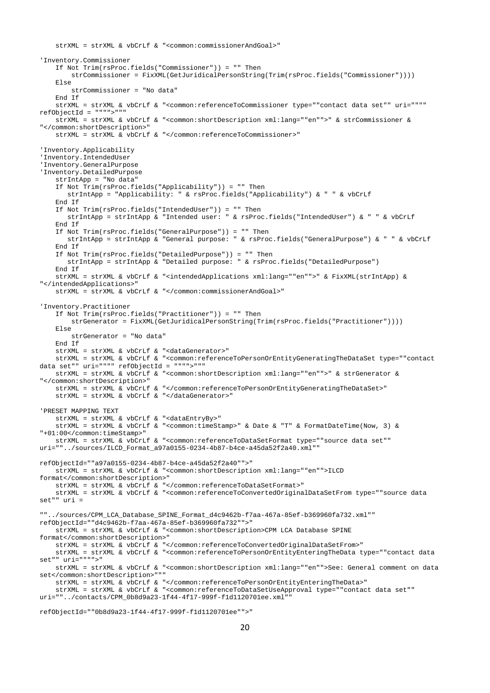```
 strXML = strXML & vbCrLf & "<common:commissionerAndGoal>"
'Inventory.Commissioner
    If Not Trim(rsProc.fields("Commissioner")) = "" Then
         strCommissioner = FixXML(GetJuridicalPersonString(Trim(rsProc.fields("Commissioner"))))
     Else
        strCommissioner = "No data"
     End If
     strXML = strXML & vbCrLf & "<common:referenceToCommissioner type=""contact data set"" uri="""" 
refObjectId = """">"""
    strXML = strXML & vbCrLf & "<common:shortDescription xml:lang=""en"">" & strCommissioner & 
"</common:shortDescription>"
     strXML = strXML & vbCrLf & "</common:referenceToCommissioner>"
'Inventory.Applicability
'Inventory.IntendedUser
'Inventory.GeneralPurpose
'Inventory.DetailedPurpose
     strIntApp = "No data"
     If Not Trim(rsProc.fields("Applicability")) = "" Then
       strIntApp = "Applicability: " & rsProc.fields("Applicability") & " " & vbCrLf
     End If
     If Not Trim(rsProc.fields("IntendedUser")) = "" Then
        strIntApp = strIntApp & "Intended user: " & rsProc.fields("IntendedUser") & " " & vbCrLf
     End If
     If Not Trim(rsProc.fields("GeneralPurpose")) = "" Then
        strIntApp = strIntApp & "General purpose: " & rsProc.fields("GeneralPurpose") & " " & vbCrLf
     End If
     If Not Trim(rsProc.fields("DetailedPurpose")) = "" Then
        strIntApp = strIntApp & "Detailed purpose: " & rsProc.fields("DetailedPurpose")
     End If
     strXML = strXML & vbCrLf & "<intendedApplications xml:lang=""en"">" & FixXML(strIntApp) & 
"</intendedApplications>"
     strXML = strXML & vbCrLf & "</common:commissionerAndGoal>"
'Inventory.Practitioner
    If Not Trim(rsProc.fields("Practitioner")) = "" Then
        strGenerator = FixXML(GetJuridicalPersonString(Trim(rsProc.fields("Practitioner"))))
    Else
         strGenerator = "No data"
     End If
     strXML = strXML & vbCrLf & "<dataGenerator>"
     strXML = strXML & vbCrLf & "<common:referenceToPersonOrEntityGeneratingTheDataSet type=""contact 
data set"" uri="""" refObjectId = """">"""
     strXML = strXML & vbCrLf & "<common:shortDescription xml:lang=""en"">" & strGenerator & 
"</common:shortDescription>"
     strXML = strXML & vbCrLf & "</common:referenceToPersonOrEntityGeneratingTheDataSet>"
     strXML = strXML & vbCrLf & "</dataGenerator>"
'PRESET MAPPING TEXT
    strXML = strXML & vbCrLf & "<dataEntryBy>"
     strXML = strXML & vbCrLf & "<common:timeStamp>" & Date & "T" & FormatDateTime(Now, 3) & 
"+01:00</common:timeStamp>"
    strXML = strXML & vbCrLf & "<common:referenceToDataSetFormat type=""source data set"" 
uri=""../sources/ILCD_Format_a97a0155-0234-4b87-b4ce-a45da52f2a40.xml"" 
refObjectId=""a97a0155-0234-4b87-b4ce-a45da52f2a40"">"
    strXML = strXML & vbCrLf & "<common:shortDescription xml:lang=""en"">ILCD 
format</common:shortDescription>"
    strXML = strXML & vbCrLf & "</common:referenceToDataSetFormat>"
    strXML = strXML & vbCrLf & "<common:referenceToConvertedOriginalDataSetFrom type=""source data 
set"" uri = 
""../sources/CPM_LCA_Database_SPINE_Format_d4c9462b-f7aa-467a-85ef-b369960fa732.xml"" 
refObjectId=""d4c9462b-f7aa-467a-85ef-b369960fa732"">"
     strXML = strXML & vbCrLf & "<common:shortDescription>CPM LCA Database SPINE 
format</common:shortDescription>"
    strXML = strXML & vbCrLf & "</common:referenceToConvertedOriginalDataSetFrom>"
    strXML = strXML & vbCrLf & "<common:referenceToPersonOrEntityEnteringTheData type=""contact data 
set"" uri="""">"
    strXML = strXML & vbCrLf & "<common:shortDescription xml:lang=""en"">See: General comment on data 
set</common:shortDescription>"""
    strXML = strXML & vbCrLf & "</common:referenceToPersonOrEntityEnteringTheData>"
     strXML = strXML & vbCrLf & "<common:referenceToDataSetUseApproval type=""contact data set"" 
uri=""../contacts/CPM_0b8d9a23-1f44-4f17-999f-f1d1120701ee.xml""
```

```
refObjectId=""0b8d9a23-1f44-4f17-999f-f1d1120701ee"">"
```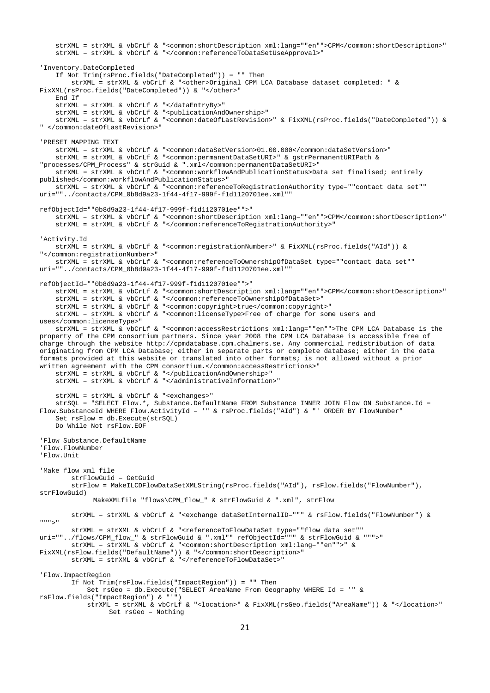```
 strXML = strXML & vbCrLf & "<common:shortDescription xml:lang=""en"">CPM</common:shortDescription>"
    strXML = strXML & vbCrLf & "</common:referenceToDataSetUseApproval>"
'Inventory.DateCompleted
    If Not Trim(rsProc.fields("DateCompleted")) = "" Then
        strXML = strXML & vbCrLf & "<other>Original CPM LCA Database dataset completed: " & 
FixXML(rsProc.fields("DateCompleted")) & "</other>"
    End If
    strXML = strXML & vbCrLf & "</dataEntryBy>"
     strXML = strXML & vbCrLf & "<publicationAndOwnership>"
     strXML = strXML & vbCrLf & "<common:dateOfLastRevision>" & FixXML(rsProc.fields("DateCompleted")) & 
" </common:dateOfLastRevision>"
'PRESET MAPPING TEXT
     strXML = strXML & vbCrLf & "<common:dataSetVersion>01.00.000</common:dataSetVersion>"
    strXML = strXML & vbCrLf & "<common:permanentDataSetURI>" & gstrPermanentURIPath & 
"processes/CPM_Process" & strGuid & ".xml</common:permanentDataSetURI>"
     strXML = strXML & vbCrLf & "<common:workflowAndPublicationStatus>Data set finalised; entirely 
published</common:workflowAndPublicationStatus>"
    strXML = strXML & vbCrLf & "<common:referenceToRegistrationAuthority type=""contact data set"" 
uri=""../contacts/CPM_0b8d9a23-1f44-4f17-999f-f1d1120701ee.xml""
refObjectId=""0b8d9a23-1f44-4f17-999f-f1d1120701ee"">"
     strXML = strXML & vbCrLf & "<common:shortDescription xml:lang=""en"">CPM</common:shortDescription>"
    strXML = strXML & vbCrLf & "</common:referenceToRegistrationAuthority>"
'Activity.Id
    strXML = strXML & vbCrLf & "<common:registrationNumber>" & FixXML(rsProc.fields("AId")) & 
"</common:registrationNumber>"
    strXML = strXML & vbCrLf & "<common:referenceToOwnershipOfDataSet type=""contact data set"" 
uri=""../contacts/CPM_0b8d9a23-1f44-4f17-999f-f1d1120701ee.xml"" 
refObjectId=""0b8d9a23-1f44-4f17-999f-f1d1120701ee"">"
     strXML = strXML & vbCrLf & "<common:shortDescription xml:lang=""en"">CPM</common:shortDescription>"
    strXML = strXML & vbCrLf & "</common:referenceToOwnershipOfDataSet>"
    strXML = strXML & vbCrLf & "<common:copyright>true</common:copyright>"
    strXML = strXML & vbCrLf & "<common:licenseType>Free of charge for some users and 
uses</common:licenseType>"
    strXML = strXML & vbCrLf & "<common:accessRestrictions xml:lang=""en"">The CPM LCA Database is the 
property of the CPM consortium partners. Since year 2008 the CPM LCA Database is accessible free of 
charge through the website http://cpmdatabase.cpm.chalmers.se. Any commercial redistribution of data 
originating from CPM LCA Database; either in separate parts or complete database; either in the data 
formats provided at this website or translated into other formats; is not allowed without a prior 
written agreement with the CPM consortium.</common:accessRestrictions>"
     strXML = strXML & vbCrLf & "</publicationAndOwnership>"
    strXML = strXML & vbCrLf & "</administrativeInformation>"
    strXML = strXML & vbCrLf & "<exchanges>"
    strSQL = "SELECT Flow.*, Substance.DefaultName FROM Substance INNER JOIN Flow ON Substance.Id =
Flow.SubstanceId WHERE Flow.ActivityId = '" & rsProc.fields("AId") & "' ORDER BY FlowNumber"
    Set rsFlow = db.Execute(strSQL)
    Do While Not rsFlow.EOF
'Flow Substance.DefaultName
'Flow.FlowNumber
'Flow.Unit
'Make flow xml file
         strFlowGuid = GetGuid
         strFlow = MakeILCDFlowDataSetXMLString(rsProc.fields("AId"), rsFlow.fields("FlowNumber"), 
strFlowGuid)
             MakeXMLfile "flows\CPM_flow_" & strFlowGuid & ".xml", strFlow
        strXML = strXML & vbCrLf & "<exchange dataSetInternalID=""" & rsFlow.fields("FlowNumber") & 
""">"
         strXML = strXML & vbCrLf & "<referenceToFlowDataSet type=""flow data set"" 
uri=""../flows/CPM_flow_" & strFlowGuid & ".xml"" refObjectId=""" & strFlowGuid & """>"
         strXML = strXML & vbCrLf & "<common:shortDescription xml:lang=""en"">" & 
FixXML(rsFlow.fields("DefaultName")) & "</common:shortDescription>"
       strXML = strXML & vbCrLf & "</referenceToFlowDataSet>"
'Flow.ImpactRegion
         If Not Trim(rsFlow.fields("ImpactRegion")) = "" Then
             Set rsGeo = db.Execute("SELECT AreaName From Geography WHERE Id = '" & 
rsFlow.fields("ImpactRegion") & "'")
             strXML = strXML & vbCrLf & "<location>" & FixXML(rsGeo.fields("AreaName")) & "</location>"
                  Set rsGeo = Nothing
```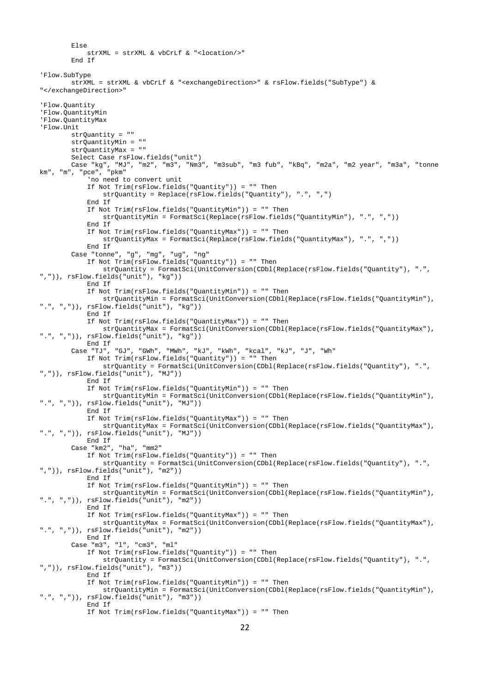```
 Else
             strXML = strXML & vbCrLf & "<location/>"
         End If
'Flow.SubType
        strXML = strXML & vbCrLf & "<exchangeDirection>" & rsFlow.fields("SubType") & 
"</exchangeDirection>"
'Flow.Quantity
'Flow.QuantityMin
'Flow.QuantityMax
'Flow.Unit
         strQuantity = ""
         strQuantityMin = ""
        strQuantityMax = "" Select Case rsFlow.fields("unit")
         Case "kg", "MJ", "m2", "m3", "Nm3", "m3sub", "m3 fub", "kBq", "m2a", "m2 year", "m3a", "tonne 
km", "m", "pce", "pkm"
             'no need to convert unit
             If Not Trim(rsFlow.fields("Quantity")) = "" Then
                strQuantity = Replace(rsFlow.fields("Quantity"), ".", ",")
             End If
             If Not Trim(rsFlow.fields("QuantityMin")) = "" Then
                 strQuantityMin = FormatSci(Replace(rsFlow.fields("QuantityMin"), ".", ","))
             End If
             If Not Trim(rsFlow.fields("QuantityMax")) = "" Then
                 strQuantityMax = FormatSci(Replace(rsFlow.fields("QuantityMax"), ".", ","))
             End If
 Case "tonne", "g", "mg", "ug", "ng"
 If Not Trim(rsFlow.fields("Quantity")) = "" Then
                 strQuantity = FormatSci(UnitConversion(CDbl(Replace(rsFlow.fields("Quantity"), ".", 
",")), rsFlow.fields("unit"), "kg"))
             End If
             If Not Trim(rsFlow.fields("QuantityMin")) = "" Then
                 strQuantityMin = FormatSci(UnitConversion(CDbl(Replace(rsFlow.fields("QuantityMin"), 
".", ",")), rsFlow.fields("unit"), "kg"))
             End If
             If Not Trim(rsFlow.fields("QuantityMax")) = "" Then
                 strQuantityMax = FormatSci(UnitConversion(CDbl(Replace(rsFlow.fields("QuantityMax"), 
".", ",")), rsFlow.fields("unit"), "kg"))
            End If
         Case "TJ", "GJ", "GWh", "MWh", "kJ", "kWh", "kcal", "kJ", "J", "Wh"
             If Not Trim(rsFlow.fields("Quantity")) = "" Then
                 strQuantity = FormatSci(UnitConversion(CDbl(Replace(rsFlow.fields("Quantity"), ".", 
",")), rsFlow.fields("unit"), "MJ"))
             End If
             If Not Trim(rsFlow.fields("QuantityMin")) = "" Then
                 strQuantityMin = FormatSci(UnitConversion(CDbl(Replace(rsFlow.fields("QuantityMin"), 
".", ",")), rsFlow.fields("unit"), "MJ"))
             End If
             If Not Trim(rsFlow.fields("QuantityMax")) = "" Then
                strQuantityMax = FormatSci(UnitConversion(CDbl(Replace(rsFlow.fields("QuantityMax"), 
".", ",")), rsFlow.fields("unit"), "MJ"))
             End If
         Case "km2", "ha", "mm2"
             If Not Trim(rsFlow.fields("Quantity")) = "" Then
                 strQuantity = FormatSci(UnitConversion(CDbl(Replace(rsFlow.fields("Quantity"), ".", 
",")), rsFlow.fields("unit"), "m2"))
             End If
             If Not Trim(rsFlow.fields("QuantityMin")) = "" Then
                 strQuantityMin = FormatSci(UnitConversion(CDbl(Replace(rsFlow.fields("QuantityMin"), 
".", ",")), rsFlow.fields("unit"), "m2"))
             End If
             If Not Trim(rsFlow.fields("QuantityMax")) = "" Then
                 strQuantityMax = FormatSci(UnitConversion(CDbl(Replace(rsFlow.fields("QuantityMax"), 
".", ",")), rsFlow.fields("unit"), "m2"))
             End If
         Case "m3", "l", "cm3", "ml"
             If Not Trim(rsFlow.fields("Quantity")) = "" Then
                 strQuantity = FormatSci(UnitConversion(CDbl(Replace(rsFlow.fields("Quantity"), ".", 
",")), rsFlow.fields("unit"), "m3"))
             End If
             If Not Trim(rsFlow.fields("QuantityMin")) = "" Then
                strQuantityMin = FormatSci(UnitConversion(CDbl(Replace(rsFlow.fields("QuantityMin"), 
".", ",")), rsFlow.fields("unit"), "m3"))
             End If
             If Not Trim(rsFlow.fields("QuantityMax")) = "" Then
```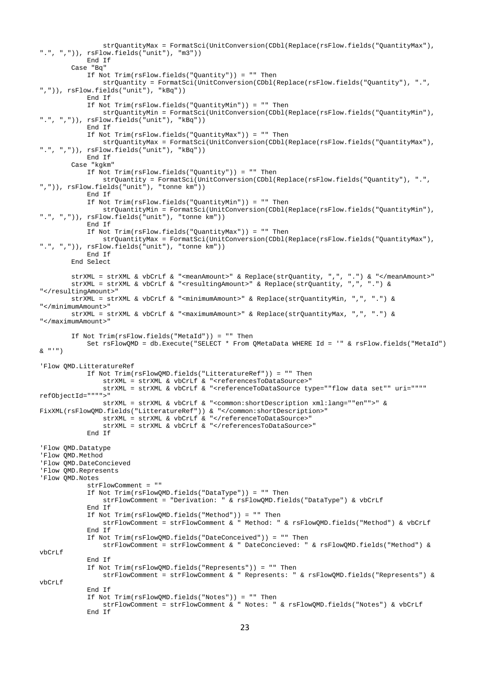```
 strQuantityMax = FormatSci(UnitConversion(CDbl(Replace(rsFlow.fields("QuantityMax"), 
".", ",")), rsFlow.fields("unit"), "m3"))
             End If
         Case "Bq"
             If Not Trim(rsFlow.fields("Quantity")) = "" Then
                 strQuantity = FormatSci(UnitConversion(CDbl(Replace(rsFlow.fields("Quantity"), ".", 
",")), rsFlow.fields("unit"), "kBq"))
             End If
             If Not Trim(rsFlow.fields("QuantityMin")) = "" Then
                 strQuantityMin = FormatSci(UnitConversion(CDbl(Replace(rsFlow.fields("QuantityMin"), 
".", ",")), rsFlow.fields("unit"), "kBq"))
             End If
             If Not Trim(rsFlow.fields("QuantityMax")) = "" Then
                 strQuantityMax = FormatSci(UnitConversion(CDbl(Replace(rsFlow.fields("QuantityMax"), 
".", ",")), rsFlow.fields("unit"), "kBq"))
             End If
         Case "kgkm"
             If Not Trim(rsFlow.fields("Quantity")) = "" Then
                 strQuantity = FormatSci(UnitConversion(CDbl(Replace(rsFlow.fields("Quantity"), ".", 
",")), rsFlow.fields("unit"), "tonne km"))
             End If
             If Not Trim(rsFlow.fields("QuantityMin")) = "" Then
                 strQuantityMin = FormatSci(UnitConversion(CDbl(Replace(rsFlow.fields("QuantityMin"), 
".", ",")), rsFlow.fields("unit"), "tonne km"))
             End If
             If Not Trim(rsFlow.fields("QuantityMax")) = "" Then
                 strQuantityMax = FormatSci(UnitConversion(CDbl(Replace(rsFlow.fields("QuantityMax"), 
".", ",")), rsFlow.fields("unit"), "tonne km"))
             End If
         End Select
         strXML = strXML & vbCrLf & "<meanAmount>" & Replace(strQuantity, ",", ".") & "</meanAmount>"
         strXML = strXML & vbCrLf & "<resultingAmount>" & Replace(strQuantity, ",", ".") & 
"</resultingAmount>"
         strXML = strXML & vbCrLf & "<minimumAmount>" & Replace(strQuantityMin, ",", ".") & 
"</minimumAmount>"
         strXML = strXML & vbCrLf & "<maximumAmount>" & Replace(strQuantityMax, ",", ".") & 
"</maximumAmount>"
         If Not Trim(rsFlow.fields("MetaId")) = "" Then
             Set rsFlowQMD = db.Execute("SELECT * From QMetaData WHERE Id = '" & rsFlow.fields("MetaId") 
\& "'")
'Flow QMD.LitteratureRef
             If Not Trim(rsFlowQMD.fields("LitteratureRef")) = "" Then
                strXML = strXML & vbCrLf & "<referencesToDataSource>"
                strXML = strXML & vbCrLf & "<referenceToDataSource type=""flow data set"" uri="""" 
refObjectId="""">"
                strXML = strXML & vbCrLf & "<common:shortDescription xml:lang=""en"">" & 
FixXML(rsFlowQMD.fields("LitteratureRef")) & "</common:shortDescription>"
                strXML = strXML & vbCrLf & "</referenceToDataSource>"
                strXML = strXML & vbCrLf & "</referencesToDataSource>"
             End If
'Flow QMD.Datatype
'Flow QMD.Method
'Flow QMD.DateConcieved
'Flow QMD.Represents
'Flow QMD.Notes
             strFlowComment = ""
             If Not Trim(rsFlowQMD.fields("DataType")) = "" Then
                 strFlowComment = "Derivation: " & rsFlowQMD.fields("DataType") & vbCrLf
             End If
             If Not Trim(rsFlowQMD.fields("Method")) = "" Then
                 strFlowComment = strFlowComment & " Method: " & rsFlowQMD.fields("Method") & vbCrLf
             End If
             If Not Trim(rsFlowQMD.fields("DateConceived")) = "" Then
                 strFlowComment = strFlowComment & " DateConcieved: " & rsFlowQMD.fields("Method") & 
vbCrLf
             End If
             If Not Trim(rsFlowQMD.fields("Represents")) = "" Then
                 strFlowComment = strFlowComment & " Represents: " & rsFlowQMD.fields("Represents") & 
vbCrLf
             End If
             If Not Trim(rsFlowQMD.fields("Notes")) = "" Then
                 strFlowComment = strFlowComment & " Notes: " & rsFlowQMD.fields("Notes") & vbCrLf
             End If
```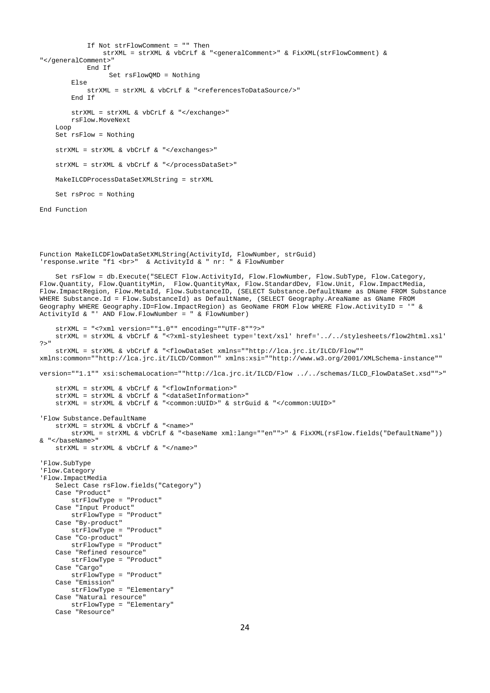```
 If Not strFlowComment = "" Then
                strXML = strXML & vbCrLf & "<generalComment>" & FixXML(strFlowComment) & 
"</generalComment>"
             End If
                   Set rsFlowQMD = Nothing
         Else
            strXML = strXML & vbCrLf & "<referencesToDataSource/>"
         End If
         strXML = strXML & vbCrLf & "</exchange>"
         rsFlow.MoveNext
     Loop
     Set rsFlow = Nothing
     strXML = strXML & vbCrLf & "</exchanges>"
     strXML = strXML & vbCrLf & "</processDataSet>"
     MakeILCDProcessDataSetXMLString = strXML
     Set rsProc = Nothing
End Function
Function MakeILCDFlowDataSetXMLString(ActivityId, FlowNumber, strGuid)
'response.write "f1 <br>> <br/> & ActivityId & " nr: " & FlowNumber
     Set rsFlow = db.Execute("SELECT Flow.ActivityId, Flow.FlowNumber, Flow.SubType, Flow.Category, 
Flow.Quantity, Flow.QuantityMin, Flow.QuantityMax, Flow.StandardDev, Flow.Unit, Flow.ImpactMedia, 
Flow.ImpactRegion, Flow.MetaId, Flow.SubstanceID, (SELECT Substance.DefaultName as DName FROM Substance 
WHERE Substance.Id = Flow.SubstanceId) as DefaultName, (SELECT Geography.AreaName as GName FROM 
Geography WHERE Geography.ID=Flow.ImpactRegion) as GeoName FROM Flow WHERE Flow.ActivityID = '" & 
ActivityId \& "' AND Flow.FlowNumber = " \& FlowNumber)
     strXML = "<?xml version=""1.0"" encoding=""UTF-8""?>"
    strXML = strXML & vbCrLf & "<?xml-stylesheet type='text/xsl' href='../../stylesheets/flow2html.xsl' 
?>"
    strXML = strXML & vbCrLf & "<flowDataSet xmlns=""http://lca.jrc.it/ILCD/Flow"" 
xmlns:common=""http://lca.jrc.it/ILCD/Common"" xmlns:xsi=""http://www.w3.org/2001/XMLSchema-instance"" 
version=""1.1"" xsi:schemaLocation=""http://lca.jrc.it/ILCD/Flow ../../schemas/ILCD_FlowDataSet.xsd"">"
     strXML = strXML & vbCrLf & "<flowInformation>"
     strXML = strXML & vbCrLf & "<dataSetInformation>"
     strXML = strXML & vbCrLf & "<common:UUID>" & strGuid & "</common:UUID>"
'Flow Substance.DefaultName
    strXML = strXML & vbCrLf & "<name>"
       strXML = strXML & vbCrLf & "<br />baseName xml:lang=""en"">" & FixXML(rsFlow.fields("DefaultName"))
& "</baseName>"
     strXML = strXML & vbCrLf & "</name>"
'Flow.SubType
'Flow.Category
'Flow.ImpactMedia
     Select Case rsFlow.fields("Category")
     Case "Product"
        strFlowType = "Product"
     Case "Input Product"
        strFlowType = "Product"
     Case "By-product"
        strFlowType = "Product"
     Case "Co-product"
        strFlowType = "Product"
     Case "Refined resource"
        strFlowType = "Product"
     Case "Cargo"
        strFlowType = "Product"
     Case "Emission"
        strFlowType = "Elementary"
     Case "Natural resource"
        strFlowType = "Elementary"
     Case "Resource"
```

```
24
```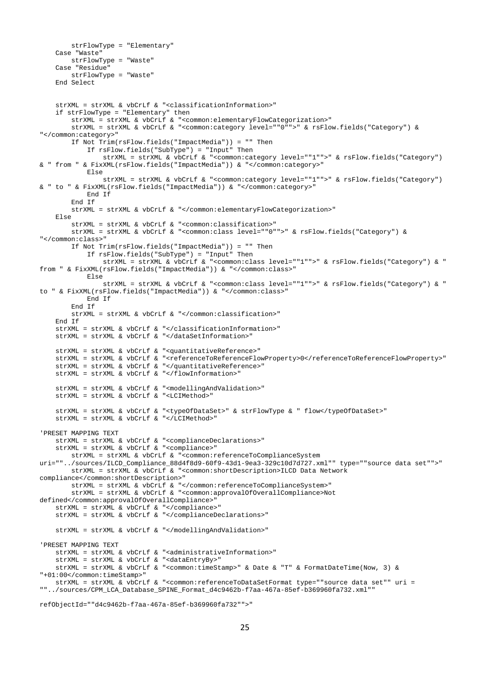```
 strFlowType = "Elementary"
     Case "Waste"
        strFlowType = "Waste"
     Case "Residue"
         strFlowType = "Waste"
     End Select
    strXML = strXML & vbCrLf & "<classificationInformation>"
     if strFlowType = "Elementary" then
         strXML = strXML & vbCrLf & "<common:elementaryFlowCategorization>"
        strXML = strXML & vbCrLf & "<common:category level=""0"">" & rsFlow.fields("Category") & 
"</common:category>"
         If Not Trim(rsFlow.fields("ImpactMedia")) = "" Then
             If rsFlow.fields("SubType") = "Input" Then
                strXML = strXML & vbCrLf & "<common:category level=""1"">" & rsFlow.fields("Category") 
& " from " & FixXML(rsFlow.fields("ImpactMedia")) & "</common:category>"
            Else
                 strXML = strXML & vbCrLf & "<common:category level=""1"">" & rsFlow.fields("Category") 
& " to " & FixXML(rsFlow.fields("ImpactMedia")) & "</common:category>"
            End If
         End If
         strXML = strXML & vbCrLf & "</common:elementaryFlowCategorization>"
     Else
         strXML = strXML & vbCrLf & "<common:classification>"
         strXML = strXML & vbCrLf & "<common:class level=""0"">" & rsFlow.fields("Category") & 
"</common:class>"
        If Not Trim(rsFlow.fields("ImpactMedia")) = "" Then
             If rsFlow.fields("SubType") = "Input" Then
                 strXML = strXML & vbCrLf & "<common:class level=""1"">" & rsFlow.fields("Category") & " 
from " & FixXML(rsFlow.fields("ImpactMedia")) & "</common:class>"
             Else
                strXML = strXML & vbCrLf & "<common:class level=""1"">" & rsFlow.fields("Category") & " 
to " & FixXML(rsFlow.fields("ImpactMedia")) & "</common:class>"
            End If
         End If
         strXML = strXML & vbCrLf & "</common:classification>"
     End If
     strXML = strXML & vbCrLf & "</classificationInformation>"
     strXML = strXML & vbCrLf & "</dataSetInformation>"
     strXML = strXML & vbCrLf & "<quantitativeReference>"
     strXML = strXML & vbCrLf & "<referenceToReferenceFlowProperty>0</referenceToReferenceFlowProperty>"
     strXML = strXML & vbCrLf & "</quantitativeReference>"
     strXML = strXML & vbCrLf & "</flowInformation>"
     strXML = strXML & vbCrLf & "<modellingAndValidation>"
     strXML = strXML & vbCrLf & "<LCIMethod>"
     strXML = strXML & vbCrLf & "<typeOfDataSet>" & strFlowType & " flow</typeOfDataSet>"
     strXML = strXML & vbCrLf & "</LCIMethod>"
'PRESET MAPPING TEXT
     strXML = strXML & vbCrLf & "<complianceDeclarations>"
    strXML = strXML & vbcrLf & vcompliance> strXML = strXML & vbCrLf & "<common:referenceToComplianceSystem 
uri=""../sources/ILCD_Compliance_88d4f8d9-60f9-43d1-9ea3-329c10d7d727.xml"" type=""source data set"">"
         strXML = strXML & vbCrLf & "<common:shortDescription>ILCD Data Network 
compliance</common:shortDescription>"
         strXML = strXML & vbCrLf & "</common:referenceToComplianceSystem>"
         strXML = strXML & vbCrLf & "<common:approvalOfOverallCompliance>Not 
defined</common:approvalOfOverallCompliance>"
     strXML = strXML & vbCrLf & "</compliance>"
     strXML = strXML & vbCrLf & "</complianceDeclarations>"
     strXML = strXML & vbCrLf & "</modellingAndValidation>"
'PRESET MAPPING TEXT
    strXML = strXML & vbCrLf & "<administrativeInformation>"
     strXML = strXML & vbCrLf & "<dataEntryBy>"
     strXML = strXML & vbCrLf & "<common:timeStamp>" & Date & "T" & FormatDateTime(Now, 3) & 
"+01:00</common:timeStamp>"
    strXML = strXML & vbCrLf & "<common:referenceToDataSetFormat type=""source data set"" uri = 
""../sources/CPM_LCA_Database_SPINE_Format_d4c9462b-f7aa-467a-85ef-b369960fa732.xml""
```

```
refObjectId=""d4c9462b-f7aa-467a-85ef-b369960fa732"">"
```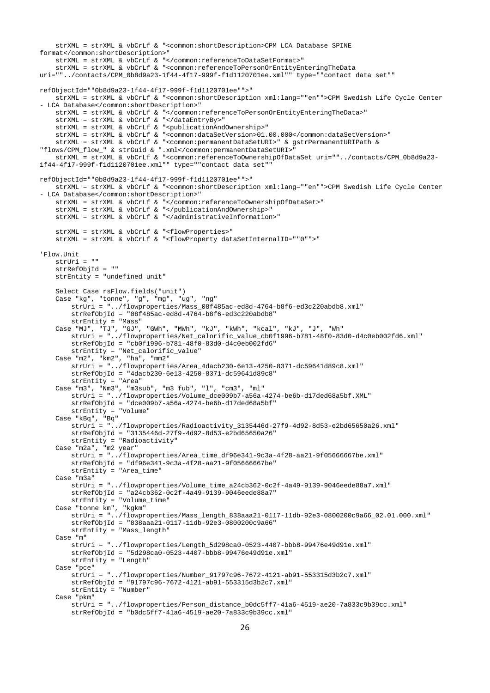```
 strXML = strXML & vbCrLf & "<common:shortDescription>CPM LCA Database SPINE 
format</common:shortDescription>"
     strXML = strXML & vbCrLf & "</common:referenceToDataSetFormat>"
    strXML = strXML & vbCrLf & "<common:referenceToPersonOrEntityEnteringTheData 
uri=""../contacts/CPM_0b8d9a23-1f44-4f17-999f-f1d1120701ee.xml"" type=""contact data set"" 
refObjectId=""0b8d9a23-1f44-4f17-999f-f1d1120701ee"">"
     strXML = strXML & vbCrLf & "<common:shortDescription xml:lang=""en"">CPM Swedish Life Cycle Center 
- LCA Database</common:shortDescription>"
     strXML = strXML & vbCrLf & "</common:referenceToPersonOrEntityEnteringTheData>"
     strXML = strXML & vbCrLf & "</dataEntryBy>"
     strXML = strXML & vbCrLf & "<publicationAndOwnership>"
     strXML = strXML & vbCrLf & "<common:dataSetVersion>01.00.000</common:dataSetVersion>"
     strXML = strXML & vbCrLf & "<common:permanentDataSetURI>" & gstrPermanentURIPath & 
"flows/CPM_flow_" & strGuid & ".xml</common:permanentDataSetURI>"
    strXML = strXML & vbCrLf & "<common:referenceToOwnershipOfDataSet uri=""../contacts/CPM_0b8d9a23-
1f44-4f17-999f-f1d1120701ee.xml"" type=""contact data set"" 
refObjectId=""0b8d9a23-1f44-4f17-999f-f1d1120701ee"">"
    strXML = strXML & vbCrLf & "<common:shortDescription xml:lang=""en"">CPM Swedish Life Cycle Center 
- LCA Database</common:shortDescription>"
     strXML = strXML & vbCrLf & "</common:referenceToOwnershipOfDataSet>"
     strXML = strXML & vbCrLf & "</publicationAndOwnership>"
     strXML = strXML & vbCrLf & "</administrativeInformation>"
     strXML = strXML & vbCrLf & "<flowProperties>"
     strXML = strXML & vbCrLf & "<flowProperty dataSetInternalID=""0"">"
'Flow.Unit
     strUri = ""
     strRefObjId = ""
     strEntity = "undefined unit"
     Select Case rsFlow.fields("unit")
     Case "kg", "tonne", "g", "mg", "ug", "ng"
         strUri = "../flowproperties/Mass_08f485ac-ed8d-4764-b8f6-ed3c220abdb8.xml"
        strRefObjId = "08f485ac-ed8d-4764-b8f6-ed3c220abdb8" strEntity = "Mass"
     Case "MJ", "TJ", "GJ", "GWh", "MWh", "kJ", "kWh", "kcal", "kJ", "J", "Wh"
         strUri = "../flowproperties/Net_calorific_value_cb0f1996-b781-48f0-83d0-d4c0eb002fd6.xml"
         strRefObjId = "cb0f1996-b781-48f0-83d0-d4c0eb002fd6"
         strEntity = "Net_calorific_value"
     Case "m2", "km2", "ha", "mm2"
         strUri = "../flowproperties/Area_4dacb230-6e13-4250-8371-dc59641d89c8.xml"
         strRefObjId = "4dacb230-6e13-4250-8371-dc59641d89c8"
         strEntity = "Area"
     Case "m3", "Nm3", "m3sub", "m3 fub", "l", "cm3", "ml"
         strUri = "../flowproperties/Volume_dce009b7-a56a-4274-be6b-d17ded68a5bf.XML"
         strRefObjId = "dce009b7-a56a-4274-be6b-d17ded68a5bf"
         strEntity = "Volume"
     Case "kBq", "Bq"
         strUri = "../flowproperties/Radioactivity_3135446d-27f9-4d92-8d53-e2bd65650a26.xml"
         strRefObjId = "3135446d-27f9-4d92-8d53-e2bd65650a26"
         strEntity = "Radioactivity"
     Case "m2a", "m2 year"
         strUri = "../flowproperties/Area_time_df96e341-9c3a-4f28-aa21-9f05666667be.xml"
         strRefObjId = "df96e341-9c3a-4f28-aa21-9f05666667be"
         strEntity = "Area_time"
     Case "m3a"
        strUri = "../flowproperties/Volume_time_a24cb362-0c2f-4a49-9139-9046eede88a7.xml"
         strRefObjId = "a24cb362-0c2f-4a49-9139-9046eede88a7"
         strEntity = "Volume_time"
     Case "tonne km", "kgkm"
         strUri = "../flowproperties/Mass_length_838aaa21-0117-11db-92e3-0800200c9a66_02.01.000.xml"
         strRefObjId = "838aaa21-0117-11db-92e3-0800200c9a66"
         strEntity = "Mass_length"
     Case "m"
         strUri = "../flowproperties/Length_5d298ca0-0523-4407-bbb8-99476e49d91e.xml"
         strRefObjId = "5d298ca0-0523-4407-bbb8-99476e49d91e.xml"
         strEntity = "Length"
     Case "pce"
         strUri = "../flowproperties/Number_91797c96-7672-4121-ab91-553315d3b2c7.xml"
         strRefObjId = "91797c96-7672-4121-ab91-553315d3b2c7.xml"
         strEntity = "Number"
     Case "pkm"
         strUri = "../flowproperties/Person_distance_b0dc5ff7-41a6-4519-ae20-7a833c9b39cc.xml"
         strRefObjId = "b0dc5ff7-41a6-4519-ae20-7a833c9b39cc.xml"
```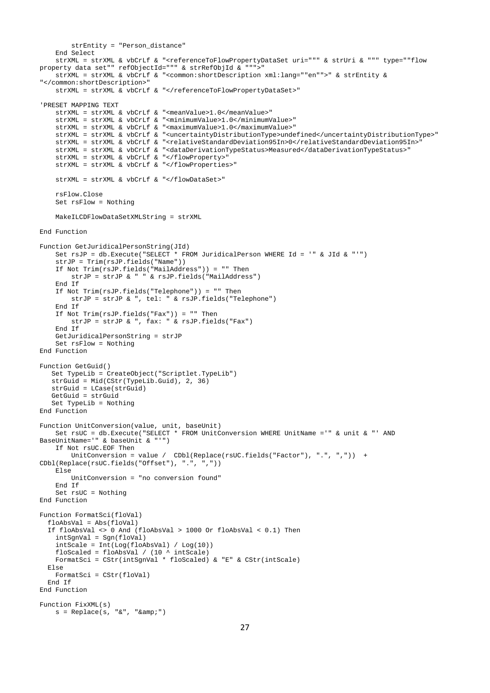```
 strEntity = "Person_distance"
     End Select
     strXML = strXML & vbCrLf & "<referenceToFlowPropertyDataSet uri=""" & strUri & """ type=""flow 
property data set"" refObjectId=""" & strRefObjId & """>"
     strXML = strXML & vbCrLf & "<common:shortDescription xml:lang=""en"">" & strEntity & 
"</common:shortDescription>"
    strXML = strXML & vbCrLf & "</referenceToFlowPropertyDataSet>"
'PRESET MAPPING TEXT
     strXML = strXML & vbCrLf & "<meanValue>1.0</meanValue>"
     strXML = strXML & vbCrLf & "<minimumValue>1.0</minimumValue>"
    strXML = strXML & vbCrLf & "<maximumValue>1.0</maximumValue>"
     strXML = strXML & vbCrLf & "<uncertaintyDistributionType>undefined</uncertaintyDistributionType>"
     strXML = strXML & vbCrLf & "<relativeStandardDeviation95In>0</relativeStandardDeviation95In>"
     strXML = strXML & vbCrLf & "<dataDerivationTypeStatus>Measured</dataDerivationTypeStatus>"
     strXML = strXML & vbCrLf & "</flowProperty>"
     strXML = strXML & vbCrLf & "</flowProperties>"
     strXML = strXML & vbCrLf & "</flowDataSet>"
     rsFlow.Close
     Set rsFlow = Nothing
     MakeILCDFlowDataSetXMLString = strXML
End Function
Function GetJuridicalPersonString(JId)
     Set rsJP = db.Execute("SELECT * FROM JuridicalPerson WHERE Id = '" & JId & "'")
     strJP = Trim(rsJP.fields("Name"))
    If Not Trim(rsJP.fields("MailAddress")) = "" Then
         strJP = strJP & " " & rsJP.fields("MailAddress")
     End If
    If Not Trim(rsJP.fields("Telephone")) = "" Then
         strJP = strJP & ", tel: " & rsJP.fields("Telephone")
     End If
     If Not Trim(rsJP.fields("Fax")) = "" Then
        strJP = strJP & ", fax: " & rsJP.fields("Fax")
     End If
     GetJuridicalPersonString = strJP
     Set rsFlow = Nothing
End Function
Function GetGuid()
    Set TypeLib = CreateObject("Scriptlet.TypeLib")
    strGuid = Mid(CStr(TypeLib.Guid), 2, 36)
    strGuid = LCase(strGuid)
    GetGuid = strGuid
    Set TypeLib = Nothing
End Function
Function UnitConversion(value, unit, baseUnit)
    Set rsUC = db.Execute("SELECT * FROM UnitConversion WHERE UnitName ='" & unit & "' AND 
BaseUnitName='" & baseUnit & "'")
    If Not rsUC.EOF Then
       UnitConversion = value / CDbl(Replace(rsUC.fields("Factor"), ".", ",")) +
CDbl(Replace(rsUC.fields("Offset"), ".", ",")) 
     Else
        UnitConversion = "no conversion found"
     End If
     Set rsUC = Nothing
End Function
Function FormatSci(floVal)
   floAbsVal = Abs(floVal)
   If floAbsVal <> 0 And (floAbsVal > 1000 Or floAbsVal < 0.1) Then
     intSgnVal = Sgn(floVal)
     intScale = Int(Log(floAbsVal) / Log(10))
   floScaled = floAbsVal / (10 \t{^{\circ}} intScale)
    FormatSci = CStr(intSgnVal * floScaled) & "E" & CStr(intScale)
   Else
    FormatSci = CStr(floVal)
   End If
End Function
Function FixXML(s)
   s = Replace(s, "&", "&")
```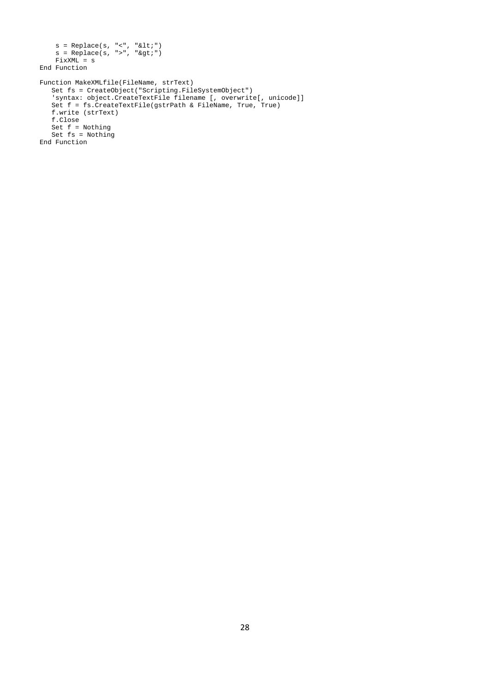```
 s = Replace(s, "<", "&lt;")
s = Replace(s, ">", ">")
   FixXML = sEnd Function
Function MakeXMLfile(FileName, strText)
 Set fs = CreateObject("Scripting.FileSystemObject")
 'syntax: object.CreateTextFile filename [, overwrite[, unicode]]
   Set f = fs.CreateTextFile(gstrPath & FileName, True, True)
   f.write (strText)
   f.Close
 Set f = Nothing
 Set fs = Nothing
End Function
```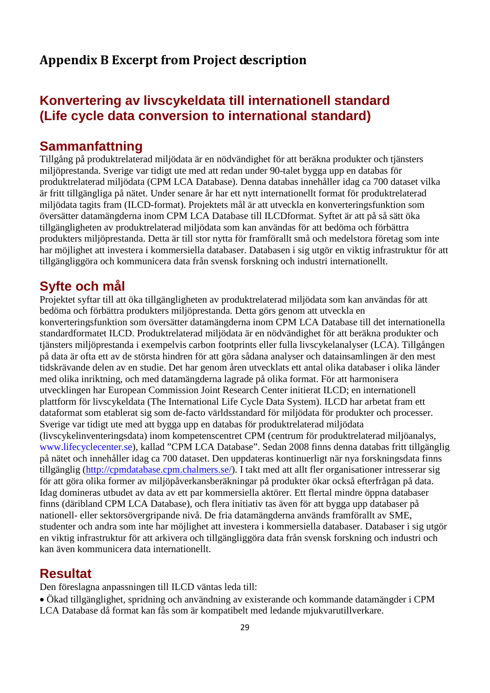### **Appendix B Excerpt from Project description**

## **Konvertering av livscykeldata till internationell standard (Life cycle data conversion to international standard)**

#### **Sammanfattning**

Tillgång på produktrelaterad miljödata är en nödvändighet för att beräkna produkter och tjänsters miljöprestanda. Sverige var tidigt ute med att redan under 90-talet bygga upp en databas för produktrelaterad miljödata (CPM LCA Database). Denna databas innehåller idag ca 700 dataset vilka är fritt tillgängliga på nätet. Under senare år har ett nytt internationellt format för produktrelaterad miljödata tagits fram (ILCD-format). Projektets mål är att utveckla en konverteringsfunktion som översätter datamängderna inom CPM LCA Database till ILCDformat. Syftet är att på så sätt öka tillgängligheten av produktrelaterad miljödata som kan användas för att bedöma och förbättra produkters miljöprestanda. Detta är till stor nytta för framförallt små och medelstora företag som inte har möjlighet att investera i kommersiella databaser. Databasen i sig utgör en viktig infrastruktur för att tillgängliggöra och kommunicera data från svensk forskning och industri internationellt.

#### **Syfte och mål**

Projektet syftar till att öka tillgängligheten av produktrelaterad miljödata som kan användas för att bedöma och förbättra produkters miljöprestanda. Detta görs genom att utveckla en konverteringsfunktion som översätter datamängderna inom CPM LCA Database till det internationella standardformatet ILCD. Produktrelaterad miljödata är en nödvändighet för att beräkna produkter och tjänsters miljöprestanda i exempelvis carbon footprints eller fulla livscykelanalyser (LCA). Tillgången på data är ofta ett av de största hindren för att göra sådana analyser och datainsamlingen är den mest tidskrävande delen av en studie. Det har genom åren utvecklats ett antal olika databaser i olika länder med olika inriktning, och med datamängderna lagrade på olika format. För att harmonisera utvecklingen har European Commission Joint Research Center initierat ILCD; en internationell plattform för livscykeldata (The International Life Cycle Data System). ILCD har arbetat fram ett dataformat som etablerat sig som de-facto världsstandard för miljödata för produkter och processer. Sverige var tidigt ute med att bygga upp en databas för produktrelaterad miljödata (livscykelinventeringsdata) inom kompetenscentret CPM (centrum för produktrelaterad miljöanalys, www.lifecyclecenter.se), kallad "CPM LCA Database". Sedan 2008 finns denna databas fritt tillgänglig på nätet och innehåller idag ca 700 dataset. Den uppdateras kontinuerligt när nya forskningsdata finns tillgänglig [\(http://cpmdatabase.cpm.chalmers.se/\)](http://cpmdatabase.cpm.chalmers.se/). I takt med att allt fler organisationer intresserar sig för att göra olika former av miljöpåverkansberäkningar på produkter ökar också efterfrågan på data. Idag domineras utbudet av data av ett par kommersiella aktörer. Ett flertal mindre öppna databaser finns (däribland CPM LCA Database), och flera initiativ tas även för att bygga upp databaser på nationell- eller sektorsövergripande nivå. De fria datamängderna används framförallt av SME, studenter och andra som inte har möjlighet att investera i kommersiella databaser. Databaser i sig utgör en viktig infrastruktur för att arkivera och tillgängliggöra data från svensk forskning och industri och kan även kommunicera data internationellt.

#### **Resultat**

Den föreslagna anpassningen till ILCD väntas leda till:

• Ökad tillgänglighet, spridning och användning av existerande och kommande datamängder i CPM LCA Database då format kan fås som är kompatibelt med ledande mjukvarutillverkare.